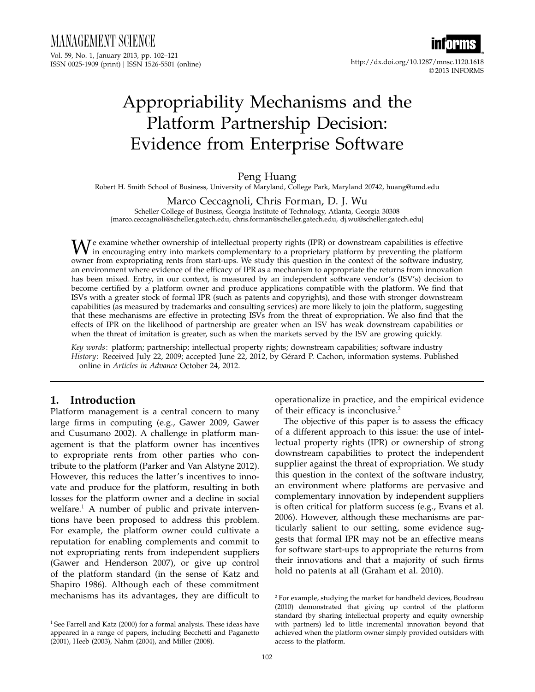

© 2013 INFORMS

# Appropriability Mechanisms and the Platform Partnership Decision: Evidence from Enterprise Software

## Peng Huang

Robert H. Smith School of Business, University of Maryland, College Park, Maryland 20742, huang@umd.edu

### Marco Ceccagnoli, Chris Forman, D. J. Wu

Scheller College of Business, Georgia Institute of Technology, Atlanta, Georgia 30308 {marco.ceccagnoli@scheller.gatech.edu, chris.forman@scheller.gatech.edu, dj.wu@scheller.gatech.edu}

We examine whether ownership of intellectual property rights (IPR) or downstream capabilities is effective<br>in encouraging entry into markets complementary to a proprietary platform by preventing the platform<br>in the propert owner from expropriating rents from start-ups. We study this question in the context of the software industry, an environment where evidence of the efficacy of IPR as a mechanism to appropriate the returns from innovation has been mixed. Entry, in our context, is measured by an independent software vendor's (ISV's) decision to become certified by a platform owner and produce applications compatible with the platform. We find that ISVs with a greater stock of formal IPR (such as patents and copyrights), and those with stronger downstream capabilities (as measured by trademarks and consulting services) are more likely to join the platform, suggesting that these mechanisms are effective in protecting ISVs from the threat of expropriation. We also find that the effects of IPR on the likelihood of partnership are greater when an ISV has weak downstream capabilities or when the threat of imitation is greater, such as when the markets served by the ISV are growing quickly.

Key words: platform; partnership; intellectual property rights; downstream capabilities; software industry History: Received July 22, 2009; accepted June 22, 2012, by Gérard P. Cachon, information systems. Published online in Articles in Advance October 24, 2012.

## 1. Introduction

Platform management is a central concern to many large firms in computing (e.g., Gawer 2009, Gawer and Cusumano 2002). A challenge in platform management is that the platform owner has incentives to expropriate rents from other parties who contribute to the platform (Parker and Van Alstyne 2012). However, this reduces the latter's incentives to innovate and produce for the platform, resulting in both losses for the platform owner and a decline in social welfare.<sup>1</sup> A number of public and private interventions have been proposed to address this problem. For example, the platform owner could cultivate a reputation for enabling complements and commit to not expropriating rents from independent suppliers (Gawer and Henderson 2007), or give up control of the platform standard (in the sense of Katz and Shapiro 1986). Although each of these commitment mechanisms has its advantages, they are difficult to

operationalize in practice, and the empirical evidence of their efficacy is inconclusive.<sup>2</sup>

The objective of this paper is to assess the efficacy of a different approach to this issue: the use of intellectual property rights (IPR) or ownership of strong downstream capabilities to protect the independent supplier against the threat of expropriation. We study this question in the context of the software industry, an environment where platforms are pervasive and complementary innovation by independent suppliers is often critical for platform success (e.g., Evans et al. 2006). However, although these mechanisms are particularly salient to our setting, some evidence suggests that formal IPR may not be an effective means for software start-ups to appropriate the returns from their innovations and that a majority of such firms hold no patents at all (Graham et al. 2010).

<sup>&</sup>lt;sup>1</sup> See Farrell and Katz (2000) for a formal analysis. These ideas have appeared in a range of papers, including Becchetti and Paganetto (2001), Heeb (2003), Nahm (2004), and Miller (2008).

<sup>2</sup> For example, studying the market for handheld devices, Boudreau (2010) demonstrated that giving up control of the platform standard (by sharing intellectual property and equity ownership with partners) led to little incremental innovation beyond that achieved when the platform owner simply provided outsiders with access to the platform.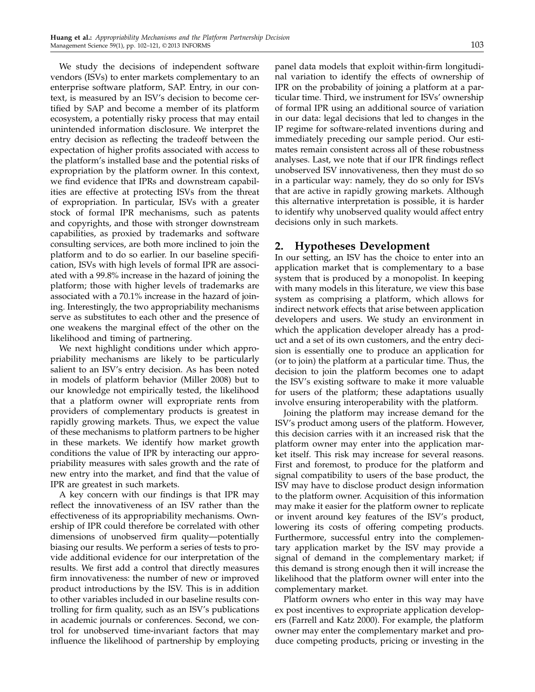We study the decisions of independent software vendors (ISVs) to enter markets complementary to an enterprise software platform, SAP. Entry, in our context, is measured by an ISV's decision to become certified by SAP and become a member of its platform ecosystem, a potentially risky process that may entail unintended information disclosure. We interpret the entry decision as reflecting the tradeoff between the expectation of higher profits associated with access to the platform's installed base and the potential risks of expropriation by the platform owner. In this context, we find evidence that IPRs and downstream capabilities are effective at protecting ISVs from the threat of expropriation. In particular, ISVs with a greater stock of formal IPR mechanisms, such as patents and copyrights, and those with stronger downstream capabilities, as proxied by trademarks and software consulting services, are both more inclined to join the platform and to do so earlier. In our baseline specification, ISVs with high levels of formal IPR are associated with a 99.8% increase in the hazard of joining the platform; those with higher levels of trademarks are associated with a 70.1% increase in the hazard of joining. Interestingly, the two appropriability mechanisms serve as substitutes to each other and the presence of one weakens the marginal effect of the other on the likelihood and timing of partnering.

We next highlight conditions under which appropriability mechanisms are likely to be particularly salient to an ISV's entry decision. As has been noted in models of platform behavior (Miller 2008) but to our knowledge not empirically tested, the likelihood that a platform owner will expropriate rents from providers of complementary products is greatest in rapidly growing markets. Thus, we expect the value of these mechanisms to platform partners to be higher in these markets. We identify how market growth conditions the value of IPR by interacting our appropriability measures with sales growth and the rate of new entry into the market, and find that the value of IPR are greatest in such markets.

A key concern with our findings is that IPR may reflect the innovativeness of an ISV rather than the effectiveness of its appropriability mechanisms. Ownership of IPR could therefore be correlated with other dimensions of unobserved firm quality—potentially biasing our results. We perform a series of tests to provide additional evidence for our interpretation of the results. We first add a control that directly measures firm innovativeness: the number of new or improved product introductions by the ISV. This is in addition to other variables included in our baseline results controlling for firm quality, such as an ISV's publications in academic journals or conferences. Second, we control for unobserved time-invariant factors that may influence the likelihood of partnership by employing panel data models that exploit within-firm longitudinal variation to identify the effects of ownership of IPR on the probability of joining a platform at a particular time. Third, we instrument for ISVs' ownership of formal IPR using an additional source of variation in our data: legal decisions that led to changes in the IP regime for software-related inventions during and immediately preceding our sample period. Our estimates remain consistent across all of these robustness analyses. Last, we note that if our IPR findings reflect unobserved ISV innovativeness, then they must do so in a particular way: namely, they do so only for ISVs that are active in rapidly growing markets. Although this alternative interpretation is possible, it is harder to identify why unobserved quality would affect entry decisions only in such markets.

## 2. Hypotheses Development

In our setting, an ISV has the choice to enter into an application market that is complementary to a base system that is produced by a monopolist. In keeping with many models in this literature, we view this base system as comprising a platform, which allows for indirect network effects that arise between application developers and users. We study an environment in which the application developer already has a product and a set of its own customers, and the entry decision is essentially one to produce an application for (or to join) the platform at a particular time. Thus, the decision to join the platform becomes one to adapt the ISV's existing software to make it more valuable for users of the platform; these adaptations usually involve ensuring interoperability with the platform.

Joining the platform may increase demand for the ISV's product among users of the platform. However, this decision carries with it an increased risk that the platform owner may enter into the application market itself. This risk may increase for several reasons. First and foremost, to produce for the platform and signal compatibility to users of the base product, the ISV may have to disclose product design information to the platform owner. Acquisition of this information may make it easier for the platform owner to replicate or invent around key features of the ISV's product, lowering its costs of offering competing products. Furthermore, successful entry into the complementary application market by the ISV may provide a signal of demand in the complementary market; if this demand is strong enough then it will increase the likelihood that the platform owner will enter into the complementary market.

Platform owners who enter in this way may have ex post incentives to expropriate application developers (Farrell and Katz 2000). For example, the platform owner may enter the complementary market and produce competing products, pricing or investing in the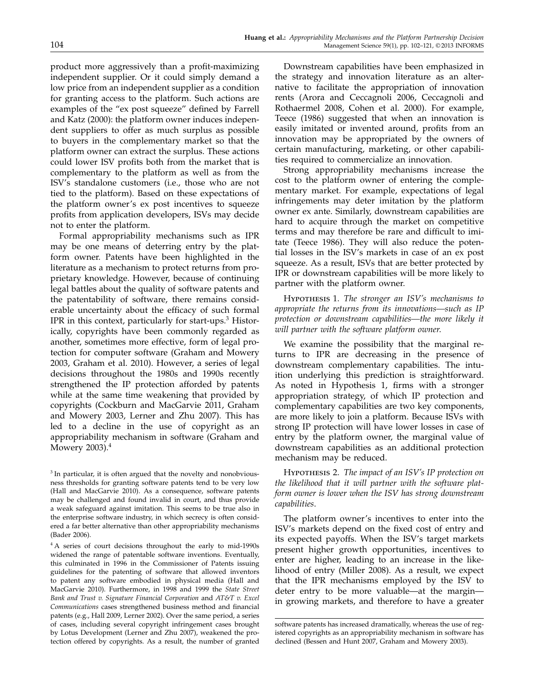product more aggressively than a profit-maximizing independent supplier. Or it could simply demand a low price from an independent supplier as a condition for granting access to the platform. Such actions are examples of the "ex post squeeze" defined by Farrell and Katz (2000): the platform owner induces independent suppliers to offer as much surplus as possible to buyers in the complementary market so that the platform owner can extract the surplus. These actions could lower ISV profits both from the market that is complementary to the platform as well as from the ISV's standalone customers (i.e., those who are not tied to the platform). Based on these expectations of the platform owner's ex post incentives to squeeze profits from application developers, ISVs may decide not to enter the platform.

Formal appropriability mechanisms such as IPR may be one means of deterring entry by the platform owner. Patents have been highlighted in the literature as a mechanism to protect returns from proprietary knowledge. However, because of continuing legal battles about the quality of software patents and the patentability of software, there remains considerable uncertainty about the efficacy of such formal IPR in this context, particularly for start-ups.<sup>3</sup> Historically, copyrights have been commonly regarded as another, sometimes more effective, form of legal protection for computer software (Graham and Mowery 2003, Graham et al. 2010). However, a series of legal decisions throughout the 1980s and 1990s recently strengthened the IP protection afforded by patents while at the same time weakening that provided by copyrights (Cockburn and MacGarvie 2011, Graham and Mowery 2003, Lerner and Zhu 2007). This has led to a decline in the use of copyright as an appropriability mechanism in software (Graham and Mowery 2003).<sup>4</sup>

Downstream capabilities have been emphasized in the strategy and innovation literature as an alternative to facilitate the appropriation of innovation rents (Arora and Ceccagnoli 2006, Ceccagnoli and Rothaermel 2008, Cohen et al. 2000). For example, Teece (1986) suggested that when an innovation is easily imitated or invented around, profits from an innovation may be appropriated by the owners of certain manufacturing, marketing, or other capabilities required to commercialize an innovation.

Strong appropriability mechanisms increase the cost to the platform owner of entering the complementary market. For example, expectations of legal infringements may deter imitation by the platform owner ex ante. Similarly, downstream capabilities are hard to acquire through the market on competitive terms and may therefore be rare and difficult to imitate (Teece 1986). They will also reduce the potential losses in the ISV's markets in case of an ex post squeeze. As a result, ISVs that are better protected by IPR or downstream capabilities will be more likely to partner with the platform owner.

Hypothesis 1. The stronger an ISV's mechanisms to appropriate the returns from its innovations—such as IP protection or downstream capabilities—the more likely it will partner with the software platform owner.

We examine the possibility that the marginal returns to IPR are decreasing in the presence of downstream complementary capabilities. The intuition underlying this prediction is straightforward. As noted in Hypothesis 1, firms with a stronger appropriation strategy, of which IP protection and complementary capabilities are two key components, are more likely to join a platform. Because ISVs with strong IP protection will have lower losses in case of entry by the platform owner, the marginal value of downstream capabilities as an additional protection mechanism may be reduced.

Hypothesis 2. The impact of an ISV's IP protection on the likelihood that it will partner with the software platform owner is lower when the ISV has strong downstream capabilities.

The platform owner's incentives to enter into the ISV's markets depend on the fixed cost of entry and its expected payoffs. When the ISV's target markets present higher growth opportunities, incentives to enter are higher, leading to an increase in the likelihood of entry (Miller 2008). As a result, we expect that the IPR mechanisms employed by the ISV to deter entry to be more valuable—at the margin in growing markets, and therefore to have a greater

<sup>&</sup>lt;sup>3</sup> In particular, it is often argued that the novelty and nonobviousness thresholds for granting software patents tend to be very low (Hall and MacGarvie 2010). As a consequence, software patents may be challenged and found invalid in court, and thus provide a weak safeguard against imitation. This seems to be true also in the enterprise software industry, in which secrecy is often considered a far better alternative than other appropriability mechanisms (Bader 2006).

<sup>&</sup>lt;sup>4</sup> A series of court decisions throughout the early to mid-1990s widened the range of patentable software inventions. Eventually, this culminated in 1996 in the Commissioner of Patents issuing guidelines for the patenting of software that allowed inventors to patent any software embodied in physical media (Hall and MacGarvie 2010). Furthermore, in 1998 and 1999 the State Street Bank and Trust v. Signature Financial Corporation and AT&T v. Excel Communications cases strengthened business method and financial patents (e.g., Hall 2009, Lerner 2002). Over the same period, a series of cases, including several copyright infringement cases brought by Lotus Development (Lerner and Zhu 2007), weakened the protection offered by copyrights. As a result, the number of granted

software patents has increased dramatically, whereas the use of registered copyrights as an appropriability mechanism in software has declined (Bessen and Hunt 2007, Graham and Mowery 2003).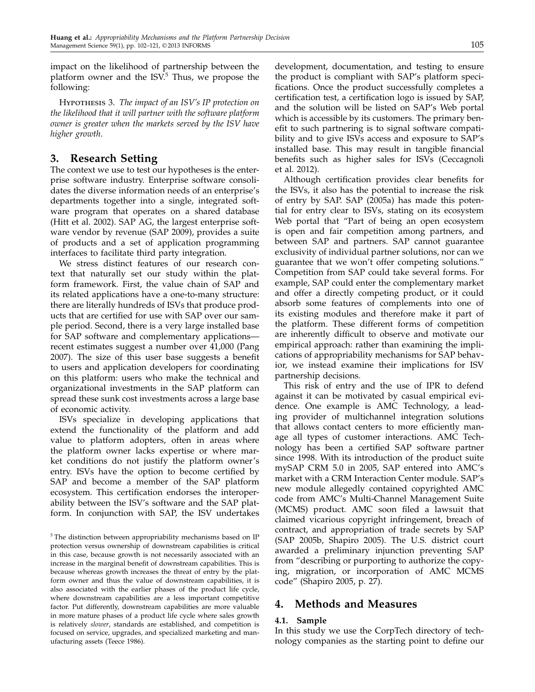impact on the likelihood of partnership between the platform owner and the ISV. $5$  Thus, we propose the following:

Hypothesis 3. The impact of an ISV's IP protection on the likelihood that it will partner with the software platform owner is greater when the markets served by the ISV have higher growth.

# 3. Research Setting

The context we use to test our hypotheses is the enterprise software industry. Enterprise software consolidates the diverse information needs of an enterprise's departments together into a single, integrated software program that operates on a shared database (Hitt et al. 2002). SAP AG, the largest enterprise software vendor by revenue (SAP 2009), provides a suite of products and a set of application programming interfaces to facilitate third party integration.

We stress distinct features of our research context that naturally set our study within the platform framework. First, the value chain of SAP and its related applications have a one-to-many structure: there are literally hundreds of ISVs that produce products that are certified for use with SAP over our sample period. Second, there is a very large installed base for SAP software and complementary applications recent estimates suggest a number over 41,000 (Pang 2007). The size of this user base suggests a benefit to users and application developers for coordinating on this platform: users who make the technical and organizational investments in the SAP platform can spread these sunk cost investments across a large base of economic activity.

ISVs specialize in developing applications that extend the functionality of the platform and add value to platform adopters, often in areas where the platform owner lacks expertise or where market conditions do not justify the platform owner's entry. ISVs have the option to become certified by SAP and become a member of the SAP platform ecosystem. This certification endorses the interoperability between the ISV's software and the SAP platform. In conjunction with SAP, the ISV undertakes

development, documentation, and testing to ensure the product is compliant with SAP's platform specifications. Once the product successfully completes a certification test, a certification logo is issued by SAP, and the solution will be listed on SAP's Web portal which is accessible by its customers. The primary benefit to such partnering is to signal software compatibility and to give ISVs access and exposure to SAP's installed base. This may result in tangible financial benefits such as higher sales for ISVs (Ceccagnoli et al. 2012).

Although certification provides clear benefits for the ISVs, it also has the potential to increase the risk of entry by SAP. SAP (2005a) has made this potential for entry clear to ISVs, stating on its ecosystem Web portal that "Part of being an open ecosystem is open and fair competition among partners, and between SAP and partners. SAP cannot guarantee exclusivity of individual partner solutions, nor can we guarantee that we won't offer competing solutions." Competition from SAP could take several forms. For example, SAP could enter the complementary market and offer a directly competing product, or it could absorb some features of complements into one of its existing modules and therefore make it part of the platform. These different forms of competition are inherently difficult to observe and motivate our empirical approach: rather than examining the implications of appropriability mechanisms for SAP behavior, we instead examine their implications for ISV partnership decisions.

This risk of entry and the use of IPR to defend against it can be motivated by casual empirical evidence. One example is AMC Technology, a leading provider of multichannel integration solutions that allows contact centers to more efficiently manage all types of customer interactions. AMC Technology has been a certified SAP software partner since 1998. With its introduction of the product suite mySAP CRM 5.0 in 2005, SAP entered into AMC's market with a CRM Interaction Center module. SAP's new module allegedly contained copyrighted AMC code from AMC's Multi-Channel Management Suite (MCMS) product. AMC soon filed a lawsuit that claimed vicarious copyright infringement, breach of contract, and appropriation of trade secrets by SAP (SAP 2005b, Shapiro 2005). The U.S. district court awarded a preliminary injunction preventing SAP from "describing or purporting to authorize the copying, migration, or incorporation of AMC MCMS code" (Shapiro 2005, p. 27).

# 4. Methods and Measures

## 4.1. Sample

In this study we use the CorpTech directory of technology companies as the starting point to define our

<sup>5</sup> The distinction between appropriability mechanisms based on IP protection versus ownership of downstream capabilities is critical in this case, because growth is not necessarily associated with an increase in the marginal benefit of downstream capabilities. This is because whereas growth increases the threat of entry by the platform owner and thus the value of downstream capabilities, it is also associated with the earlier phases of the product life cycle, where downstream capabilities are a less important competitive factor. Put differently, downstream capabilities are more valuable in more mature phases of a product life cycle where sales growth is relatively slower, standards are established, and competition is focused on service, upgrades, and specialized marketing and manufacturing assets (Teece 1986).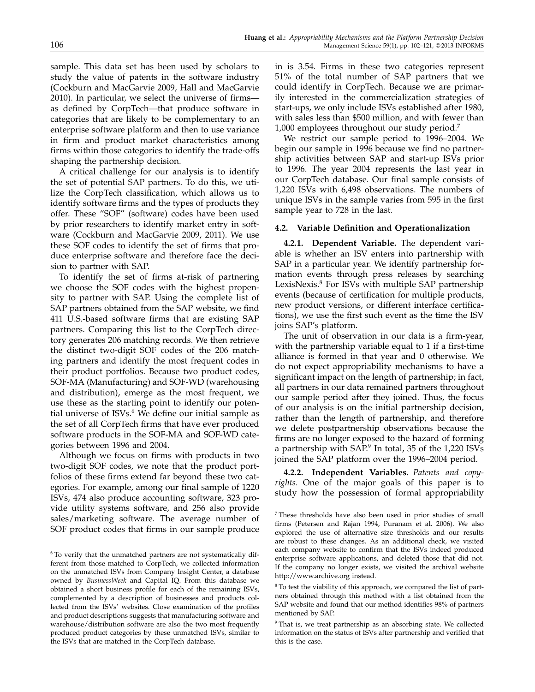sample. This data set has been used by scholars to study the value of patents in the software industry (Cockburn and MacGarvie 2009, Hall and MacGarvie 2010). In particular, we select the universe of firms as defined by CorpTech—that produce software in categories that are likely to be complementary to an enterprise software platform and then to use variance in firm and product market characteristics among firms within those categories to identify the trade-offs shaping the partnership decision.

A critical challenge for our analysis is to identify the set of potential SAP partners. To do this, we utilize the CorpTech classification, which allows us to identify software firms and the types of products they offer. These "SOF" (software) codes have been used by prior researchers to identify market entry in software (Cockburn and MacGarvie 2009, 2011). We use these SOF codes to identify the set of firms that produce enterprise software and therefore face the decision to partner with SAP.

To identify the set of firms at-risk of partnering we choose the SOF codes with the highest propensity to partner with SAP. Using the complete list of SAP partners obtained from the SAP website, we find 411 U.S.-based software firms that are existing SAP partners. Comparing this list to the CorpTech directory generates 206 matching records. We then retrieve the distinct two-digit SOF codes of the 206 matching partners and identify the most frequent codes in their product portfolios. Because two product codes, SOF-MA (Manufacturing) and SOF-WD (warehousing and distribution), emerge as the most frequent, we use these as the starting point to identify our potential universe of ISVs.<sup>6</sup> We define our initial sample as the set of all CorpTech firms that have ever produced software products in the SOF-MA and SOF-WD categories between 1996 and 2004.

Although we focus on firms with products in two two-digit SOF codes, we note that the product portfolios of these firms extend far beyond these two categories. For example, among our final sample of 1220 ISVs, 474 also produce accounting software, 323 provide utility systems software, and 256 also provide sales/marketing software. The average number of SOF product codes that firms in our sample produce in is 3.54. Firms in these two categories represent 51% of the total number of SAP partners that we could identify in CorpTech. Because we are primarily interested in the commercialization strategies of start-ups, we only include ISVs established after 1980, with sales less than \$500 million, and with fewer than 1,000 employees throughout our study period.<sup>7</sup>

We restrict our sample period to 1996–2004. We begin our sample in 1996 because we find no partnership activities between SAP and start-up ISVs prior to 1996. The year 2004 represents the last year in our CorpTech database. Our final sample consists of 1,220 ISVs with 6,498 observations. The numbers of unique ISVs in the sample varies from 595 in the first sample year to 728 in the last.

#### 4.2. Variable Definition and Operationalization

4.2.1. Dependent Variable. The dependent variable is whether an ISV enters into partnership with SAP in a particular year. We identify partnership formation events through press releases by searching LexisNexis.<sup>8</sup> For ISVs with multiple SAP partnership events (because of certification for multiple products, new product versions, or different interface certifications), we use the first such event as the time the ISV joins SAP's platform.

The unit of observation in our data is a firm-year, with the partnership variable equal to 1 if a first-time alliance is formed in that year and 0 otherwise. We do not expect appropriability mechanisms to have a significant impact on the length of partnership; in fact, all partners in our data remained partners throughout our sample period after they joined. Thus, the focus of our analysis is on the initial partnership decision, rather than the length of partnership, and therefore we delete postpartnership observations because the firms are no longer exposed to the hazard of forming a partnership with SAP.<sup>9</sup> In total, 35 of the 1,220 ISVs joined the SAP platform over the 1996–2004 period.

4.2.2. Independent Variables. Patents and copyrights. One of the major goals of this paper is to study how the possession of formal appropriability

<sup>6</sup> To verify that the unmatched partners are not systematically different from those matched to CorpTech, we collected information on the unmatched ISVs from Company Insight Center, a database owned by BusinessWeek and Capital IQ. From this database we obtained a short business profile for each of the remaining ISVs, complemented by a description of businesses and products collected from the ISVs' websites. Close examination of the profiles and product descriptions suggests that manufacturing software and warehouse/distribution software are also the two most frequently produced product categories by these unmatched ISVs, similar to the ISVs that are matched in the CorpTech database.

<sup>7</sup> These thresholds have also been used in prior studies of small firms (Petersen and Rajan 1994, Puranam et al. 2006). We also explored the use of alternative size thresholds and our results are robust to these changes. As an additional check, we visited each company website to confirm that the ISVs indeed produced enterprise software applications, and deleted those that did not. If the company no longer exists, we visited the archival website http://www.archive.org instead.

<sup>&</sup>lt;sup>8</sup> To test the viability of this approach, we compared the list of partners obtained through this method with a list obtained from the SAP website and found that our method identifies 98% of partners mentioned by SAP.

<sup>&</sup>lt;sup>9</sup> That is, we treat partnership as an absorbing state. We collected information on the status of ISVs after partnership and verified that this is the case.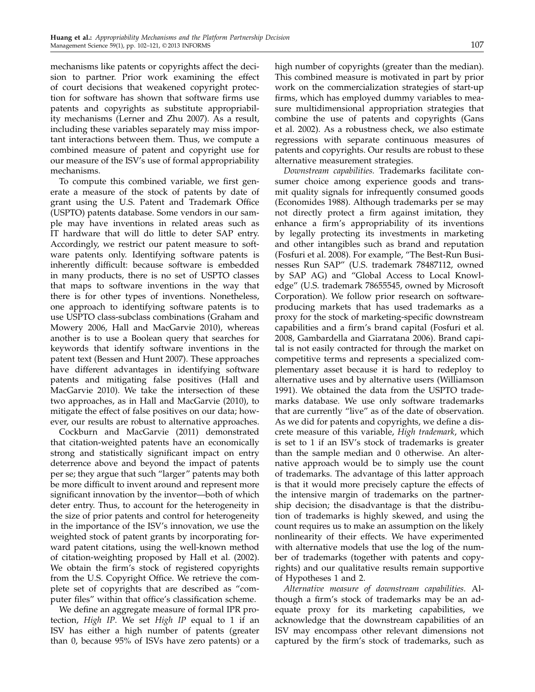mechanisms like patents or copyrights affect the decision to partner. Prior work examining the effect of court decisions that weakened copyright protection for software has shown that software firms use patents and copyrights as substitute appropriability mechanisms (Lerner and Zhu 2007). As a result, including these variables separately may miss important interactions between them. Thus, we compute a combined measure of patent and copyright use for our measure of the ISV's use of formal appropriability mechanisms.

To compute this combined variable, we first generate a measure of the stock of patents by date of grant using the U.S. Patent and Trademark Office (USPTO) patents database. Some vendors in our sample may have inventions in related areas such as IT hardware that will do little to deter SAP entry. Accordingly, we restrict our patent measure to software patents only. Identifying software patents is inherently difficult: because software is embedded in many products, there is no set of USPTO classes that maps to software inventions in the way that there is for other types of inventions. Nonetheless, one approach to identifying software patents is to use USPTO class-subclass combinations (Graham and Mowery 2006, Hall and MacGarvie 2010), whereas another is to use a Boolean query that searches for keywords that identify software inventions in the patent text (Bessen and Hunt 2007). These approaches have different advantages in identifying software patents and mitigating false positives (Hall and MacGarvie 2010). We take the intersection of these two approaches, as in Hall and MacGarvie (2010), to mitigate the effect of false positives on our data; however, our results are robust to alternative approaches.

Cockburn and MacGarvie (2011) demonstrated that citation-weighted patents have an economically strong and statistically significant impact on entry deterrence above and beyond the impact of patents per se; they argue that such "larger" patents may both be more difficult to invent around and represent more significant innovation by the inventor—both of which deter entry. Thus, to account for the heterogeneity in the size of prior patents and control for heterogeneity in the importance of the ISV's innovation, we use the weighted stock of patent grants by incorporating forward patent citations, using the well-known method of citation-weighting proposed by Hall et al. (2002). We obtain the firm's stock of registered copyrights from the U.S. Copyright Office. We retrieve the complete set of copyrights that are described as "computer files" within that office's classification scheme.

We define an aggregate measure of formal IPR protection, High IP. We set High IP equal to 1 if an ISV has either a high number of patents (greater than 0, because 95% of ISVs have zero patents) or a high number of copyrights (greater than the median). This combined measure is motivated in part by prior work on the commercialization strategies of start-up firms, which has employed dummy variables to measure multidimensional appropriation strategies that combine the use of patents and copyrights (Gans et al. 2002). As a robustness check, we also estimate regressions with separate continuous measures of patents and copyrights. Our results are robust to these alternative measurement strategies.

Downstream capabilities. Trademarks facilitate consumer choice among experience goods and transmit quality signals for infrequently consumed goods (Economides 1988). Although trademarks per se may not directly protect a firm against imitation, they enhance a firm's appropriability of its inventions by legally protecting its investments in marketing and other intangibles such as brand and reputation (Fosfuri et al. 2008). For example, "The Best-Run Businesses Run SAP" (U.S. trademark 78487112, owned by SAP AG) and "Global Access to Local Knowledge" (U.S. trademark 78655545, owned by Microsoft Corporation). We follow prior research on softwareproducing markets that has used trademarks as a proxy for the stock of marketing-specific downstream capabilities and a firm's brand capital (Fosfuri et al. 2008, Gambardella and Giarratana 2006). Brand capital is not easily contracted for through the market on competitive terms and represents a specialized complementary asset because it is hard to redeploy to alternative uses and by alternative users (Williamson 1991). We obtained the data from the USPTO trademarks database. We use only software trademarks that are currently "live" as of the date of observation. As we did for patents and copyrights, we define a discrete measure of this variable, High trademark, which is set to 1 if an ISV's stock of trademarks is greater than the sample median and 0 otherwise. An alternative approach would be to simply use the count of trademarks. The advantage of this latter approach is that it would more precisely capture the effects of the intensive margin of trademarks on the partnership decision; the disadvantage is that the distribution of trademarks is highly skewed, and using the count requires us to make an assumption on the likely nonlinearity of their effects. We have experimented with alternative models that use the log of the number of trademarks (together with patents and copyrights) and our qualitative results remain supportive of Hypotheses 1 and 2.

Alternative measure of downstream capabilities. Although a firm's stock of trademarks may be an adequate proxy for its marketing capabilities, we acknowledge that the downstream capabilities of an ISV may encompass other relevant dimensions not captured by the firm's stock of trademarks, such as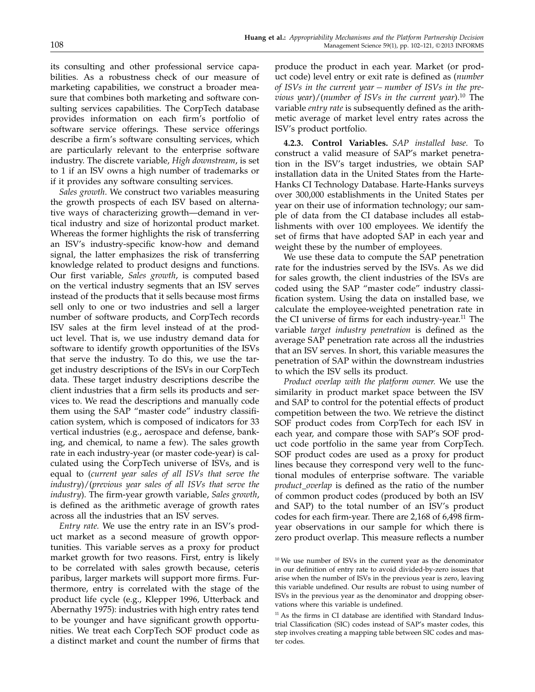its consulting and other professional service capabilities. As a robustness check of our measure of marketing capabilities, we construct a broader measure that combines both marketing and software consulting services capabilities. The CorpTech database provides information on each firm's portfolio of software service offerings. These service offerings describe a firm's software consulting services, which are particularly relevant to the enterprise software industry. The discrete variable, High downstream, is set to 1 if an ISV owns a high number of trademarks or if it provides any software consulting services.

Sales growth. We construct two variables measuring the growth prospects of each ISV based on alternative ways of characterizing growth—demand in vertical industry and size of horizontal product market. Whereas the former highlights the risk of transferring an ISV's industry-specific know-how and demand signal, the latter emphasizes the risk of transferring knowledge related to product designs and functions. Our first variable, Sales growth, is computed based on the vertical industry segments that an ISV serves instead of the products that it sells because most firms sell only to one or two industries and sell a larger number of software products, and CorpTech records ISV sales at the firm level instead of at the product level. That is, we use industry demand data for software to identify growth opportunities of the ISVs that serve the industry. To do this, we use the target industry descriptions of the ISVs in our CorpTech data. These target industry descriptions describe the client industries that a firm sells its products and services to. We read the descriptions and manually code them using the SAP "master code" industry classification system, which is composed of indicators for 33 vertical industries (e.g., aerospace and defense, banking, and chemical, to name a few). The sales growth rate in each industry-year (or master code-year) is calculated using the CorpTech universe of ISVs, and is equal to (current year sales of all ISVs that serve the industry)/(previous year sales of all ISVs that serve the industry). The firm-year growth variable, Sales growth, is defined as the arithmetic average of growth rates across all the industries that an ISV serves.

Entry rate. We use the entry rate in an ISV's product market as a second measure of growth opportunities. This variable serves as a proxy for product market growth for two reasons. First, entry is likely to be correlated with sales growth because, ceteris paribus, larger markets will support more firms. Furthermore, entry is correlated with the stage of the product life cycle (e.g., Klepper 1996, Utterback and Abernathy 1975): industries with high entry rates tend to be younger and have significant growth opportunities. We treat each CorpTech SOF product code as a distinct market and count the number of firms that

produce the product in each year. Market (or product code) level entry or exit rate is defined as (number of ISVs in the current year – number of ISVs in the previous year)/(number of ISVs in the current year).<sup>10</sup> The variable entry rate is subsequently defined as the arithmetic average of market level entry rates across the ISV's product portfolio.

4.2.3. Control Variables. SAP installed base. To construct a valid measure of SAP's market penetration in the ISV's target industries, we obtain SAP installation data in the United States from the Harte-Hanks CI Technology Database. Harte-Hanks surveys over 300,000 establishments in the United States per year on their use of information technology; our sample of data from the CI database includes all establishments with over 100 employees. We identify the set of firms that have adopted SAP in each year and weight these by the number of employees.

We use these data to compute the SAP penetration rate for the industries served by the ISVs. As we did for sales growth, the client industries of the ISVs are coded using the SAP "master code" industry classification system. Using the data on installed base, we calculate the employee-weighted penetration rate in the CI universe of firms for each industry-year.<sup>11</sup> The variable target industry penetration is defined as the average SAP penetration rate across all the industries that an ISV serves. In short, this variable measures the penetration of SAP within the downstream industries to which the ISV sells its product.

Product overlap with the platform owner. We use the similarity in product market space between the ISV and SAP to control for the potential effects of product competition between the two. We retrieve the distinct SOF product codes from CorpTech for each ISV in each year, and compare those with SAP's SOF product code portfolio in the same year from CorpTech. SOF product codes are used as a proxy for product lines because they correspond very well to the functional modules of enterprise software. The variable product\_overlap is defined as the ratio of the number of common product codes (produced by both an ISV and SAP) to the total number of an ISV's product codes for each firm-year. There are 2,168 of 6,498 firmyear observations in our sample for which there is zero product overlap. This measure reflects a number

 $^{10}$  We use number of ISVs in the current year as the denominator in our definition of entry rate to avoid divided-by-zero issues that arise when the number of ISVs in the previous year is zero, leaving this variable undefined. Our results are robust to using number of ISVs in the previous year as the denominator and dropping observations where this variable is undefined.

 $11$  As the firms in CI database are identified with Standard Industrial Classification (SIC) codes instead of SAP's master codes, this step involves creating a mapping table between SIC codes and master codes.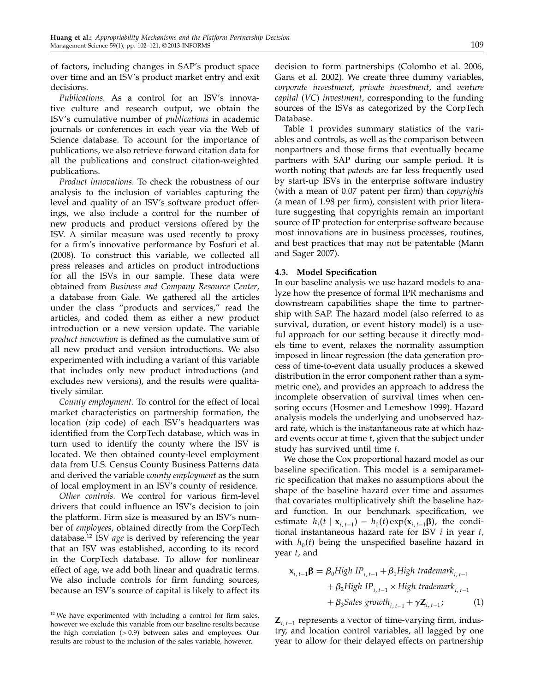of factors, including changes in SAP's product space over time and an ISV's product market entry and exit decisions.

Publications. As a control for an ISV's innovative culture and research output, we obtain the ISV's cumulative number of publications in academic journals or conferences in each year via the Web of Science database. To account for the importance of publications, we also retrieve forward citation data for all the publications and construct citation-weighted publications.

Product innovations. To check the robustness of our analysis to the inclusion of variables capturing the level and quality of an ISV's software product offerings, we also include a control for the number of new products and product versions offered by the ISV. A similar measure was used recently to proxy for a firm's innovative performance by Fosfuri et al. (2008). To construct this variable, we collected all press releases and articles on product introductions for all the ISVs in our sample. These data were obtained from Business and Company Resource Center, a database from Gale. We gathered all the articles under the class "products and services," read the articles, and coded them as either a new product introduction or a new version update. The variable product innovation is defined as the cumulative sum of all new product and version introductions. We also experimented with including a variant of this variable that includes only new product introductions (and excludes new versions), and the results were qualitatively similar.

County employment. To control for the effect of local market characteristics on partnership formation, the location (zip code) of each ISV's headquarters was identified from the CorpTech database, which was in turn used to identify the county where the ISV is located. We then obtained county-level employment data from U.S. Census County Business Patterns data and derived the variable county employment as the sum of local employment in an ISV's county of residence.

Other controls. We control for various firm-level drivers that could influence an ISV's decision to join the platform. Firm size is measured by an ISV's number of employees, obtained directly from the CorpTech database.<sup>12</sup> ISV  $age$  is derived by referencing the year that an ISV was established, according to its record in the CorpTech database. To allow for nonlinear effect of age, we add both linear and quadratic terms. We also include controls for firm funding sources, because an ISV's source of capital is likely to affect its decision to form partnerships (Colombo et al. 2006, Gans et al. 2002). We create three dummy variables, corporate investment, private investment, and venture capital (VC) investment, corresponding to the funding sources of the ISVs as categorized by the CorpTech Database.

Table 1 provides summary statistics of the variables and controls, as well as the comparison between nonpartners and those firms that eventually became partners with SAP during our sample period. It is worth noting that patents are far less frequently used by start-up ISVs in the enterprise software industry (with a mean of 0.07 patent per firm) than copyrights (a mean of 1.98 per firm), consistent with prior literature suggesting that copyrights remain an important source of IP protection for enterprise software because most innovations are in business processes, routines, and best practices that may not be patentable (Mann and Sager 2007).

#### 4.3. Model Specification

In our baseline analysis we use hazard models to analyze how the presence of formal IPR mechanisms and downstream capabilities shape the time to partnership with SAP. The hazard model (also referred to as survival, duration, or event history model) is a useful approach for our setting because it directly models time to event, relaxes the normality assumption imposed in linear regression (the data generation process of time-to-event data usually produces a skewed distribution in the error component rather than a symmetric one), and provides an approach to address the incomplete observation of survival times when censoring occurs (Hosmer and Lemeshow 1999). Hazard analysis models the underlying and unobserved hazard rate, which is the instantaneous rate at which hazard events occur at time  $t$ , given that the subject under study has survived until time t.

We chose the Cox proportional hazard model as our baseline specification. This model is a semiparametric specification that makes no assumptions about the shape of the baseline hazard over time and assumes that covariates multiplicatively shift the baseline hazard function. In our benchmark specification, we estimate  $h_i(t | \mathbf{x}_{i,t-1}) = h_0(t) \exp(\mathbf{x}_{i,t-1} \mathbf{\beta})$ , the conditional instantaneous hazard rate for ISV  $i$  in year  $t$ , with  $h_0(t)$  being the unspecified baseline hazard in year t, and

$$
\mathbf{x}_{i,t-1}\mathbf{\beta} = \beta_0 High IP_{i,t-1} + \beta_1 High\ trademark_{i,t-1} + \beta_2 High IP_{i,t-1} \times High\ trademark_{i,t-1} + \beta_3 Sales\ growth_{i,t-1} + \gamma \mathbf{Z}_{i,t-1};
$$
 (1)

 $\mathbf{Z}_{i, t-1}$  represents a vector of time-varying firm, industry, and location control variables, all lagged by one year to allow for their delayed effects on partnership

<sup>&</sup>lt;sup>12</sup> We have experimented with including a control for firm sales, however we exclude this variable from our baseline results because the high correlation  $(>0.9)$  between sales and employees. Our results are robust to the inclusion of the sales variable, however.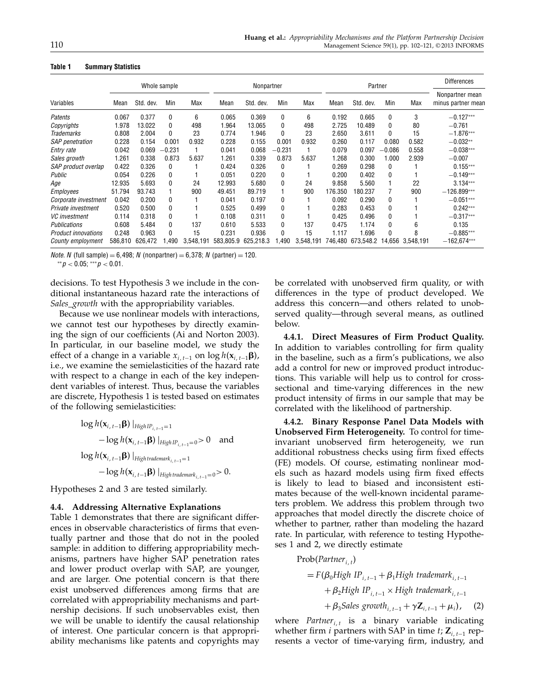#### Table 1 Summary Statistics

|                      | Whole sample |           |          | Nonpartner |           |           |          | Partner   |         |                                    |          | <b>Differences</b> |                                       |
|----------------------|--------------|-----------|----------|------------|-----------|-----------|----------|-----------|---------|------------------------------------|----------|--------------------|---------------------------------------|
| Variables            | Mean         | Std. dev. | Min      | Max        | Mean      | Std. dev. | Min      | Max       | Mean    | Std. dev.                          | Min      | Max                | Nonpartner mean<br>minus partner mean |
| Patents              | 0.067        | 0.377     | 0        | 6          | 0.065     | 0.369     | 0        | 6         | 0.192   | 0.665                              | 0        | 3                  | $-0.127***$                           |
| Copyrights           | 1.978        | 13.022    | 0        | 498        | 1.964     | 13.065    | 0        | 498       | 2.725   | 10.489                             | 0        | 80                 | $-0.761$                              |
| <b>Trademarks</b>    | 0.808        | 2.004     | 0        | 23         | 0.774     | 1.946     | 0        | 23        | 2.650   | 3.611                              | 0        | 15                 | $-1.876***$                           |
| SAP penetration      | 0.228        | 0.154     | 0.001    | 0.932      | 0.228     | 0.155     | 0.001    | 0.932     | 0.260   | 0.117                              | 0.080    | 0.582              | $-0.032**$                            |
| Entry rate           | 0.042        | 0.069     | $-0.231$ |            | 0.041     | 0.068     | $-0.231$ |           | 0.079   | 0.097                              | $-0.086$ | 0.558              | $-0.038***$                           |
| Sales growth         | 1.261        | 0.338     | 0.873    | 5.637      | 1.261     | 0.339     | 0.873    | 5.637     | 1.268   | 0.300                              | 1.000    | 2.939              | $-0.007$                              |
| SAP product overlap  | 0.422        | 0.326     | 0        |            | 0.424     | 0.326     | 0        |           | 0.269   | 0.298                              | 0        |                    | $0.155***$                            |
| Public               | 0.054        | 0.226     | 0        |            | 0.051     | 0.220     | 0        |           | 0.200   | 0.402                              | 0        |                    | $-0.149***$                           |
| Age                  | 12.935       | 5.693     | 0        | 24         | 12.993    | 5.680     | 0        | 24        | 9.858   | 5.560                              |          | 22                 | $3.134***$                            |
| Employees            | 51.794       | 93.743    |          | 900        | 49.451    | 89.719    |          | 900       | 176.350 | 180.237                            |          | 900                | $-126.899***$                         |
| Corporate investment | 0.042        | 0.200     | 0        |            | 0.041     | 0.197     | 0        |           | 0.092   | 0.290                              | 0        |                    | $-0.051***$                           |
| Private investment   | 0.520        | 0.500     | 0        |            | 0.525     | 0.499     | 0        |           | 0.283   | 0.453                              | 0        |                    | $0.242***$                            |
| VC investment        | 0.114        | 0.318     | 0        |            | 0.108     | 0.311     | 0        |           | 0.425   | 0.496                              | 0        |                    | $-0.317***$                           |
| <b>Publications</b>  | 0.608        | 5.484     | 0        | 137        | 0.610     | 5.533     | 0        | 137       | 0.475   | 1.174                              | 0        | 6                  | 0.135                                 |
| Product innovations  | 0.248        | 0.963     | 0        | 15         | 0.231     | 0.936     | 0        | 15        | 1.117   | 1.696                              | 0        | 8                  | $-0.885***$                           |
| County employment    | 586,810      | 626,472   | 1,490    | 3,548,191  | 583,805.9 | 625,218.3 | .490     | 3,548,191 |         | 746,480 673,548.2 14,656 3,548,191 |          |                    | $-162,674***$                         |

*Note. N* (full sample) = 6,498; *N* (nonpartner) = 6,378; *N* (partner) = 120.

decisions. To test Hypothesis 3 we include in the conditional instantaneous hazard rate the interactions of Sales\_growth with the appropriability variables.

Because we use nonlinear models with interactions, we cannot test our hypotheses by directly examining the sign of our coefficients (Ai and Norton 2003). In particular, in our baseline model, we study the effect of a change in a variable  $x_{i,t-1}$  on log  $h(\mathbf{x}_{i,t-1}\mathbf{\beta})$ , i.e., we examine the semielasticities of the hazard rate with respect to a change in each of the key independent variables of interest. Thus, because the variables are discrete, Hypothesis 1 is tested based on estimates of the following semielasticities:

$$
\log h(\mathbf{x}_{i, t-1}\boldsymbol{\beta})|_{\text{High IP}_{i, t-1}=1}
$$
\n
$$
-\log h(\mathbf{x}_{i, t-1}\boldsymbol{\beta})|_{\text{High IP}_{i, t-1}=0} > 0 \text{ and}
$$
\n
$$
\log h(\mathbf{x}_{i, t-1}\boldsymbol{\beta})|_{\text{High trademark}_{i, t-1}=1}
$$
\n
$$
-\log h(\mathbf{x}_{i, t-1}\boldsymbol{\beta})|_{\text{High trademark}_{i, t-1}=0} > 0.
$$

Hypotheses 2 and 3 are tested similarly.

#### 4.4. Addressing Alternative Explanations

Table 1 demonstrates that there are significant differences in observable characteristics of firms that eventually partner and those that do not in the pooled sample: in addition to differing appropriability mechanisms, partners have higher SAP penetration rates and lower product overlap with SAP, are younger, and are larger. One potential concern is that there exist unobserved differences among firms that are correlated with appropriability mechanisms and partnership decisions. If such unobservables exist, then we will be unable to identify the causal relationship of interest. One particular concern is that appropriability mechanisms like patents and copyrights may be correlated with unobserved firm quality, or with differences in the type of product developed. We address this concern—and others related to unobserved quality—through several means, as outlined below.

4.4.1. Direct Measures of Firm Product Quality. In addition to variables controlling for firm quality in the baseline, such as a firm's publications, we also add a control for new or improved product introductions. This variable will help us to control for crosssectional and time-varying differences in the new product intensity of firms in our sample that may be correlated with the likelihood of partnership.

4.4.2. Binary Response Panel Data Models with Unobserved Firm Heterogeneity. To control for timeinvariant unobserved firm heterogeneity, we run additional robustness checks using firm fixed effects (FE) models. Of course, estimating nonlinear models such as hazard models using firm fixed effects is likely to lead to biased and inconsistent estimates because of the well-known incidental parameters problem. We address this problem through two approaches that model directly the discrete choice of whether to partner, rather than modeling the hazard rate. In particular, with reference to testing Hypotheses 1 and 2, we directly estimate

$$
\text{Prob}(\text{Patterner}_{i,t})
$$
\n
$$
= F(\beta_0 \text{High IP}_{i,t-1} + \beta_1 \text{High trademark}_{i,t-1} + \beta_2 \text{High IP}_{i,t-1} \times \text{High trademark}_{i,t-1} + \beta_3 \text{Sales growth}_{i,t-1} + \gamma \mathbf{Z}_{i,t-1} + \mu_i), \quad (2)
$$

where *Partner<sub>i,t</sub>* is a binary variable indicating whether firm *i* partners with SAP in time *t*;  $\mathbf{Z}_{i, t-1}$  represents a vector of time-varying firm, industry, and

 $* p$  < 0.05;  $* * p$  < 0.01.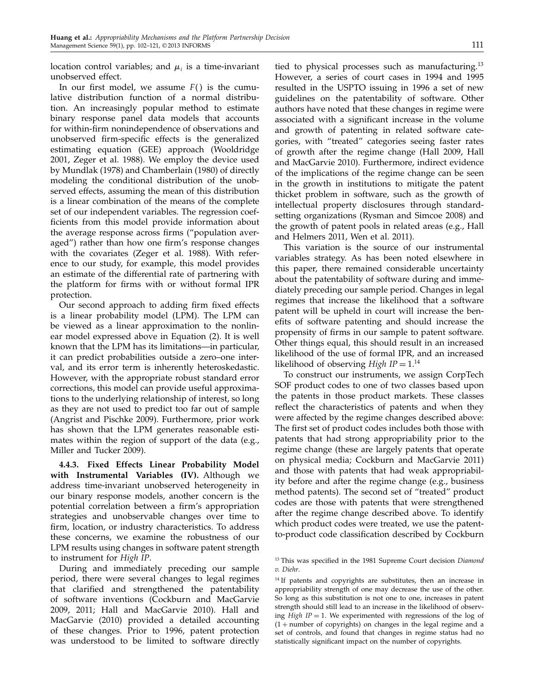location control variables; and  $\mu_i$  is a time-invariant unobserved effect.

In our first model, we assume  $F()$  is the cumulative distribution function of a normal distribution. An increasingly popular method to estimate binary response panel data models that accounts for within-firm nonindependence of observations and unobserved firm-specific effects is the generalized estimating equation (GEE) approach (Wooldridge 2001, Zeger et al. 1988). We employ the device used by Mundlak (1978) and Chamberlain (1980) of directly modeling the conditional distribution of the unobserved effects, assuming the mean of this distribution is a linear combination of the means of the complete set of our independent variables. The regression coefficients from this model provide information about the average response across firms ("population averaged") rather than how one firm's response changes with the covariates (Zeger et al. 1988). With reference to our study, for example, this model provides an estimate of the differential rate of partnering with the platform for firms with or without formal IPR protection.

Our second approach to adding firm fixed effects is a linear probability model (LPM). The LPM can be viewed as a linear approximation to the nonlinear model expressed above in Equation (2). It is well known that the LPM has its limitations—in particular, it can predict probabilities outside a zero–one interval, and its error term is inherently heteroskedastic. However, with the appropriate robust standard error corrections, this model can provide useful approximations to the underlying relationship of interest, so long as they are not used to predict too far out of sample (Angrist and Pischke 2009). Furthermore, prior work has shown that the LPM generates reasonable estimates within the region of support of the data (e.g., Miller and Tucker 2009).

4.4.3. Fixed Effects Linear Probability Model with Instrumental Variables (IV). Although we address time-invariant unobserved heterogeneity in our binary response models, another concern is the potential correlation between a firm's appropriation strategies and unobservable changes over time to firm, location, or industry characteristics. To address these concerns, we examine the robustness of our LPM results using changes in software patent strength to instrument for High IP.

During and immediately preceding our sample period, there were several changes to legal regimes that clarified and strengthened the patentability of software inventions (Cockburn and MacGarvie 2009, 2011; Hall and MacGarvie 2010). Hall and MacGarvie (2010) provided a detailed accounting of these changes. Prior to 1996, patent protection was understood to be limited to software directly tied to physical processes such as manufacturing.<sup>13</sup> However, a series of court cases in 1994 and 1995 resulted in the USPTO issuing in 1996 a set of new guidelines on the patentability of software. Other authors have noted that these changes in regime were associated with a significant increase in the volume and growth of patenting in related software categories, with "treated" categories seeing faster rates of growth after the regime change (Hall 2009, Hall and MacGarvie 2010). Furthermore, indirect evidence of the implications of the regime change can be seen in the growth in institutions to mitigate the patent thicket problem in software, such as the growth of intellectual property disclosures through standardsetting organizations (Rysman and Simcoe 2008) and the growth of patent pools in related areas (e.g., Hall and Helmers 2011, Wen et al. 2011).

This variation is the source of our instrumental variables strategy. As has been noted elsewhere in this paper, there remained considerable uncertainty about the patentability of software during and immediately preceding our sample period. Changes in legal regimes that increase the likelihood that a software patent will be upheld in court will increase the benefits of software patenting and should increase the propensity of firms in our sample to patent software. Other things equal, this should result in an increased likelihood of the use of formal IPR, and an increased likelihood of observing High  $IP = 1.14$ 

To construct our instruments, we assign CorpTech SOF product codes to one of two classes based upon the patents in those product markets. These classes reflect the characteristics of patents and when they were affected by the regime changes described above: The first set of product codes includes both those with patents that had strong appropriability prior to the regime change (these are largely patents that operate on physical media; Cockburn and MacGarvie 2011) and those with patents that had weak appropriability before and after the regime change (e.g., business method patents). The second set of "treated" product codes are those with patents that were strengthened after the regime change described above. To identify which product codes were treated, we use the patentto-product code classification described by Cockburn

<sup>&</sup>lt;sup>13</sup> This was specified in the 1981 Supreme Court decision Diamond v. Diehr.

<sup>&</sup>lt;sup>14</sup> If patents and copyrights are substitutes, then an increase in appropriability strength of one may decrease the use of the other. So long as this substitution is not one to one, increases in patent strength should still lead to an increase in the likelihood of observing High  $IP = 1$ . We experimented with regressions of the log of  $(1 +$  number of copyrights) on changes in the legal regime and a set of controls, and found that changes in regime status had no statistically significant impact on the number of copyrights.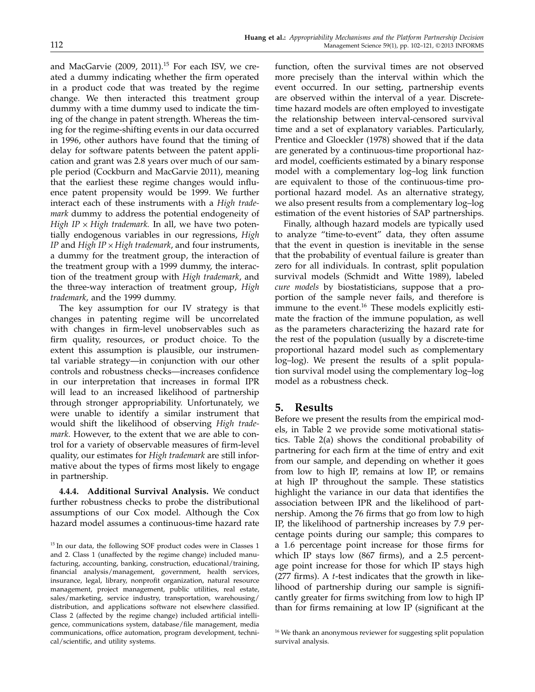and MacGarvie (2009, 2011).<sup>15</sup> For each ISV, we created a dummy indicating whether the firm operated in a product code that was treated by the regime change. We then interacted this treatment group dummy with a time dummy used to indicate the timing of the change in patent strength. Whereas the timing for the regime-shifting events in our data occurred in 1996, other authors have found that the timing of delay for software patents between the patent application and grant was 2.8 years over much of our sample period (Cockburn and MacGarvie 2011), meaning that the earliest these regime changes would influence patent propensity would be 1999. We further interact each of these instruments with a High trade*mark* dummy to address the potential endogeneity of High IP  $\times$  High trademark. In all, we have two potentially endogenous variables in our regressions, High IP and High IP  $\times$  High trademark, and four instruments, a dummy for the treatment group, the interaction of the treatment group with a 1999 dummy, the interaction of the treatment group with High trademark, and the three-way interaction of treatment group, High trademark, and the 1999 dummy.

The key assumption for our IV strategy is that changes in patenting regime will be uncorrelated with changes in firm-level unobservables such as firm quality, resources, or product choice. To the extent this assumption is plausible, our instrumental variable strategy—in conjunction with our other controls and robustness checks—increases confidence in our interpretation that increases in formal IPR will lead to an increased likelihood of partnership through stronger appropriability. Unfortunately, we were unable to identify a similar instrument that would shift the likelihood of observing High trademark. However, to the extent that we are able to control for a variety of observable measures of firm-level quality, our estimates for High trademark are still informative about the types of firms most likely to engage in partnership.

4.4.4. Additional Survival Analysis. We conduct further robustness checks to probe the distributional assumptions of our Cox model. Although the Cox hazard model assumes a continuous-time hazard rate function, often the survival times are not observed more precisely than the interval within which the event occurred. In our setting, partnership events are observed within the interval of a year. Discretetime hazard models are often employed to investigate the relationship between interval-censored survival time and a set of explanatory variables. Particularly, Prentice and Gloeckler (1978) showed that if the data are generated by a continuous-time proportional hazard model, coefficients estimated by a binary response model with a complementary log–log link function are equivalent to those of the continuous-time proportional hazard model. As an alternative strategy, we also present results from a complementary log–log estimation of the event histories of SAP partnerships.

Finally, although hazard models are typically used to analyze "time-to-event" data, they often assume that the event in question is inevitable in the sense that the probability of eventual failure is greater than zero for all individuals. In contrast, split population survival models (Schmidt and Witte 1989), labeled cure models by biostatisticians, suppose that a proportion of the sample never fails, and therefore is immune to the event.<sup>16</sup> These models explicitly estimate the fraction of the immune population, as well as the parameters characterizing the hazard rate for the rest of the population (usually by a discrete-time proportional hazard model such as complementary log–log). We present the results of a split population survival model using the complementary log–log model as a robustness check.

## 5. Results

Before we present the results from the empirical models, in Table 2 we provide some motivational statistics. Table 2(a) shows the conditional probability of partnering for each firm at the time of entry and exit from our sample, and depending on whether it goes from low to high IP, remains at low IP, or remains at high IP throughout the sample. These statistics highlight the variance in our data that identifies the association between IPR and the likelihood of partnership. Among the 76 firms that go from low to high IP, the likelihood of partnership increases by 7.9 percentage points during our sample; this compares to a 1.6 percentage point increase for those firms for which IP stays low (867 firms), and a 2.5 percentage point increase for those for which IP stays high (277 firms). A  $t$ -test indicates that the growth in likelihood of partnership during our sample is significantly greater for firms switching from low to high IP than for firms remaining at low IP (significant at the

<sup>&</sup>lt;sup>15</sup> In our data, the following SOF product codes were in Classes 1 and 2. Class 1 (unaffected by the regime change) included manufacturing, accounting, banking, construction, educational/training, financial analysis/management, government, health services, insurance, legal, library, nonprofit organization, natural resource management, project management, public utilities, real estate, sales/marketing, service industry, transportation, warehousing/ distribution, and applications software not elsewhere classified. Class 2 (affected by the regime change) included artificial intelligence, communications system, database/file management, media communications, office automation, program development, technical/scientific, and utility systems.

<sup>&</sup>lt;sup>16</sup> We thank an anonymous reviewer for suggesting split population survival analysis.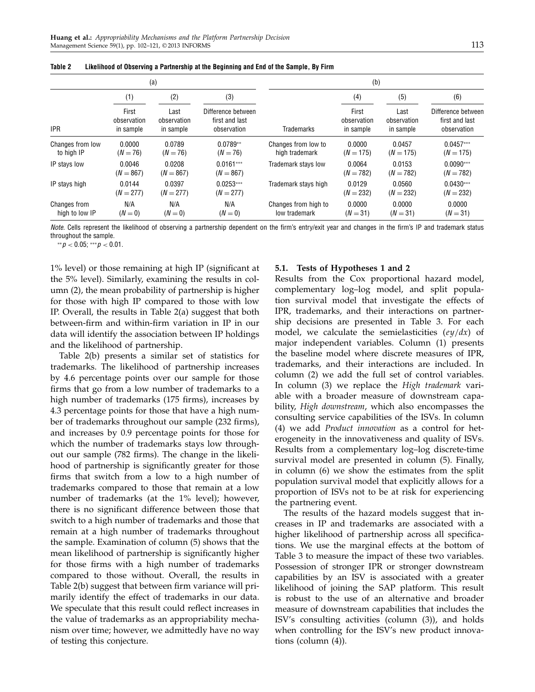|                                |                                   | (a)                              |                                                     | (b)                                   |                                   |                                  |                                                     |  |
|--------------------------------|-----------------------------------|----------------------------------|-----------------------------------------------------|---------------------------------------|-----------------------------------|----------------------------------|-----------------------------------------------------|--|
|                                | (1)                               | (2)                              | (3)                                                 |                                       | (4)                               | (5)                              | (6)                                                 |  |
| <b>IPR</b>                     | First<br>observation<br>in sample | Last<br>observation<br>in sample | Difference between<br>first and last<br>observation | <b>Trademarks</b>                     | First<br>observation<br>in sample | Last<br>observation<br>in sample | Difference between<br>first and last<br>observation |  |
| Changes from low<br>to high IP | 0.0000<br>$(N = 76)$              | 0.0789<br>$(N = 76)$             | $0.0789**$<br>$(N = 76)$                            | Changes from low to<br>high trademark | 0.0000<br>$(N = 175)$             | 0.0457<br>$(N = 175)$            | $0.0457***$<br>$(N = 175)$                          |  |
| IP stays low                   | 0.0046<br>$(N = 867)$             | 0.0208<br>$(N = 867)$            | $0.0161***$<br>$(N = 867)$                          | Trademark stays low                   | 0.0064<br>$(N = 782)$             | 0.0153<br>$(N = 782)$            | $0.0090***$<br>$(N = 782)$                          |  |
| IP stays high                  | 0.0144<br>$(N = 277)$             | 0.0397<br>$(N = 277)$            | $0.0253***$<br>$(N = 277)$                          | Trademark stays high                  | 0.0129<br>$(N = 232)$             | 0.0560<br>$(N = 232)$            | $0.0430***$<br>$(N = 232)$                          |  |
| Changes from<br>high to low IP | N/A<br>$(N=0)$                    | N/A<br>$(N=0)$                   | N/A<br>$(N=0)$                                      | Changes from high to<br>low trademark | 0.0000<br>$(N = 31)$              | 0.0000<br>$(N = 31)$             | 0.0000<br>$(N = 31)$                                |  |

Table 2 Likelihood of Observing a Partnership at the Beginning and End of the Sample, By Firm

Note. Cells represent the likelihood of observing a partnership dependent on the firm's entry/exit year and changes in the firm's IP and trademark status throughout the sample.

 $* p$  < 0.05;  $* * p$  < 0.01.

1% level) or those remaining at high IP (significant at the 5% level). Similarly, examining the results in column (2), the mean probability of partnership is higher for those with high IP compared to those with low IP. Overall, the results in Table 2(a) suggest that both between-firm and within-firm variation in IP in our data will identify the association between IP holdings and the likelihood of partnership.

Table 2(b) presents a similar set of statistics for trademarks. The likelihood of partnership increases by 4.6 percentage points over our sample for those firms that go from a low number of trademarks to a high number of trademarks (175 firms), increases by 4.3 percentage points for those that have a high number of trademarks throughout our sample (232 firms), and increases by 0.9 percentage points for those for which the number of trademarks stays low throughout our sample (782 firms). The change in the likelihood of partnership is significantly greater for those firms that switch from a low to a high number of trademarks compared to those that remain at a low number of trademarks (at the 1% level); however, there is no significant difference between those that switch to a high number of trademarks and those that remain at a high number of trademarks throughout the sample. Examination of column (5) shows that the mean likelihood of partnership is significantly higher for those firms with a high number of trademarks compared to those without. Overall, the results in Table 2(b) suggest that between firm variance will primarily identify the effect of trademarks in our data. We speculate that this result could reflect increases in the value of trademarks as an appropriability mechanism over time; however, we admittedly have no way of testing this conjecture.

#### 5.1. Tests of Hypotheses 1 and 2

Results from the Cox proportional hazard model, complementary log–log model, and split population survival model that investigate the effects of IPR, trademarks, and their interactions on partnership decisions are presented in Table 3. For each model, we calculate the semielasticities  $(ey/dx)$  of major independent variables. Column (1) presents the baseline model where discrete measures of IPR, trademarks, and their interactions are included. In column (2) we add the full set of control variables. In column (3) we replace the High trademark variable with a broader measure of downstream capability, High downstream, which also encompasses the consulting service capabilities of the ISVs. In column (4) we add Product innovation as a control for heterogeneity in the innovativeness and quality of ISVs. Results from a complementary log–log discrete-time survival model are presented in column (5). Finally, in column (6) we show the estimates from the split population survival model that explicitly allows for a proportion of ISVs not to be at risk for experiencing the partnering event.

The results of the hazard models suggest that increases in IP and trademarks are associated with a higher likelihood of partnership across all specifications. We use the marginal effects at the bottom of Table 3 to measure the impact of these two variables. Possession of stronger IPR or stronger downstream capabilities by an ISV is associated with a greater likelihood of joining the SAP platform. This result is robust to the use of an alternative and broader measure of downstream capabilities that includes the ISV's consulting activities (column (3)), and holds when controlling for the ISV's new product innovations (column (4)).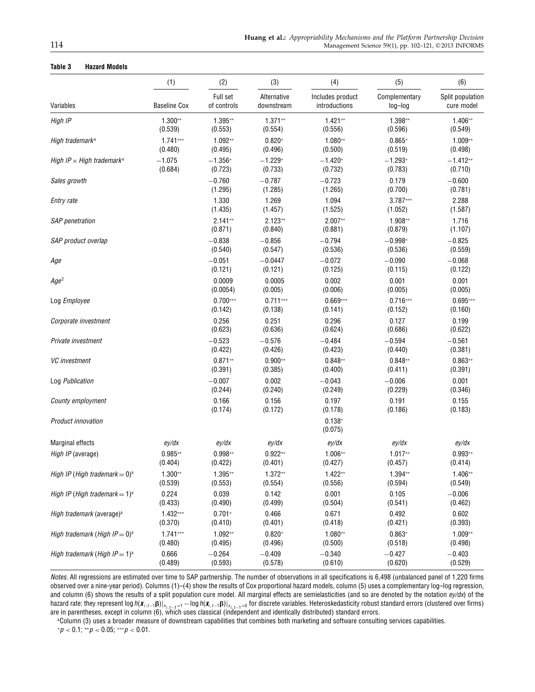#### Table 3 Hazard Models

|                                              | (1)                   | (2)                     | (3)                       | (4)                               | (5)                      | (6)                            |
|----------------------------------------------|-----------------------|-------------------------|---------------------------|-----------------------------------|--------------------------|--------------------------------|
| Variables                                    | <b>Baseline Cox</b>   | Full set<br>of controls | Alternative<br>downstream | Includes product<br>introductions | Complementary<br>log-log | Split population<br>cure model |
| High IP                                      | $1.300**$<br>(0.539)  | 1.395**<br>(0.553)      | $1.371**$<br>(0.554)      | $1.421**$<br>(0.556)              | 1.398**<br>(0.596)       | $1.406**$<br>(0.549)           |
| High trademark <sup>a</sup>                  | $1.741***$<br>(0.480) | $1.092**$<br>(0.495)    | $0.820*$<br>(0.496)       | $1.080**$<br>(0.500)              | $0.865*$<br>(0.519)      | 1.009**<br>(0.498)             |
| High IP $\times$ High trademark <sup>a</sup> | $-1.075$<br>(0.684)   | $-1.356*$<br>(0.723)    | $-1.229*$<br>(0.733)      | $-1.420*$<br>(0.732)              | $-1.293*$<br>(0.783)     | $-1.412**$<br>(0.710)          |
| Sales growth                                 |                       | $-0.760$<br>(1.295)     | $-0.787$<br>(1.285)       | $-0.723$<br>(1.265)               | 0.179<br>(0.700)         | $-0.600$<br>(0.781)            |
| Entry rate                                   |                       | 1.330<br>(1.435)        | 1.269<br>(1.457)          | 1.094<br>(1.525)                  | $3.787***$<br>(1.052)    | 2.288<br>(1.587)               |
| SAP penetration                              |                       | $2.141**$<br>(0.871)    | $2.123**$<br>(0.840)      | $2.007**$<br>(0.881)              | 1.908**<br>(0.879)       | 1.716<br>(1.107)               |
| SAP product overlap                          |                       | $-0.838$<br>(0.540)     | $-0.856$<br>(0.547)       | $-0.794$<br>(0.536)               | $-0.998*$<br>(0.536)     | $-0.825$<br>(0.559)            |
| Age                                          |                       | $-0.051$<br>(0.121)     | $-0.0447$<br>(0.121)      | $-0.072$<br>(0.125)               | $-0.090$<br>(0.115)      | $-0.068$<br>(0.122)            |
| Age <sup>2</sup>                             |                       | 0.0009<br>(0.0054)      | 0.0005<br>(0.005)         | 0.002<br>(0.006)                  | 0.001<br>(0.005)         | 0.001<br>(0.005)               |
| Log Employee                                 |                       | $0.700***$<br>(0.142)   | $0.711***$<br>(0.138)     | $0.669***$<br>(0.141)             | $0.716***$<br>(0.152)    | $0.695***$<br>(0.160)          |
| Corporate investment                         |                       | 0.256<br>(0.623)        | 0.251<br>(0.636)          | 0.296<br>(0.624)                  | 0.127<br>(0.686)         | 0.199<br>(0.622)               |
| Private investment                           |                       | $-0.523$<br>(0.422)     | $-0.576$<br>(0.426)       | $-0.484$<br>(0.423)               | $-0.594$<br>(0.440)      | $-0.561$<br>(0.381)            |
| VC investment                                |                       | $0.871**$<br>(0.391)    | $0.900**$<br>(0.385)      | $0.848**$<br>(0.400)              | $0.848**$<br>(0.411)     | $0.863**$<br>(0.391)           |
| Log Publication                              |                       | $-0.007$<br>(0.244)     | 0.002<br>(0.240)          | $-0.043$<br>(0.249)               | $-0.006$<br>(0.229)      | 0.001<br>(0.346)               |
| County employment                            |                       | 0.166<br>(0.174)        | 0.156<br>(0.172)          | 0.197<br>(0.178)                  | 0.191<br>(0.186)         | 0.155<br>(0.183)               |
| Product innovation                           |                       |                         |                           | $0.138*$<br>(0.075)               |                          |                                |
| Marginal effects                             | ey/dx                 | ey/dx                   | ey/dx                     | ey/dx                             | ey/dx                    | ey/dx                          |
| High IP (average)                            | $0.985**$<br>(0.404)  | $0.998**$<br>(0.422)    | $0.922**$<br>(0.401)      | $1.006**$<br>(0.427)              | $1.017**$<br>(0.457)     | $0.993**$<br>(0.414)           |
| High IP (High trademark = $0$ ) <sup>a</sup> | $1.300**$<br>(0.539)  | 1.395**<br>(0.553)      | $1.372**$<br>(0.554)      | $1.422**$<br>(0.556)              | 1.394**<br>(0.594)       | 1.406**<br>(0.549)             |
| High IP (High trademark = $1)^a$             | 0.224<br>(0.433)      | 0.039<br>(0.490)        | 0.142<br>(0.499)          | 0.001<br>(0.504)                  | 0.105<br>(0.541)         | $-0.006$<br>(0.462)            |
| High trademark (average) <sup>a</sup>        | $1.432***$<br>(0.370) | $0.701*$<br>(0.410)     | 0.466<br>(0.401)          | 0.671<br>(0.418)                  | 0.492<br>(0.421)         | 0.602<br>(0.393)               |
| High trademark (High $IP = 0$ ) <sup>a</sup> | $1.741***$<br>(0.480) | $1.092**$<br>(0.495)    | $0.820*$<br>(0.496)       | $1.080**$<br>(0.500)              | $0.863*$<br>(0.518)      | $1.009**$<br>(0.498)           |
| High trademark (High $IP = 1$ ) <sup>a</sup> | 0.666<br>(0.489)      | $-0.264$<br>(0.593)     | $-0.409$<br>(0.578)       | $-0.340$<br>(0.610)               | $-0.427$<br>(0.620)      | $-0.403$<br>(0.529)            |

Notes. All regressions are estimated over time to SAP partnership. The number of observations in all specifications is 6,498 (unbalanced panel of 1,220 firms observed over a nine-year period). Columns (1)–(4) show the results of Cox proportional hazard models, column (5) uses a complementary log–log regression, and column (6) shows the results of a split population cure model. All marginal effects are semielasticities (and so are denoted by the notation  $e y/dx$ ) of the hazard rate: they represent log h( $\mathbf{x}_{i,t-1}$ β) $|_{\mathbf{x}_{i,t-1}=1}$   $-$ log h( $\mathbf{x}_{i,t-1}$ β) $|_{\mathbf{x}_{i,t-1}=0}$  for discrete variables. Heteroskedasticity robust standard errors (clustered over firms) are in parentheses, except in column (6), which uses classical (independent and identically distributed) standard errors.

<sup>a</sup>Column (3) uses a broader measure of downstream capabilities that combines both marketing and software consulting services capabilities.

 ${}^*p$  < 0.1;  ${}^{**}p$  < 0.05;  ${}^{***}p$  < 0.01.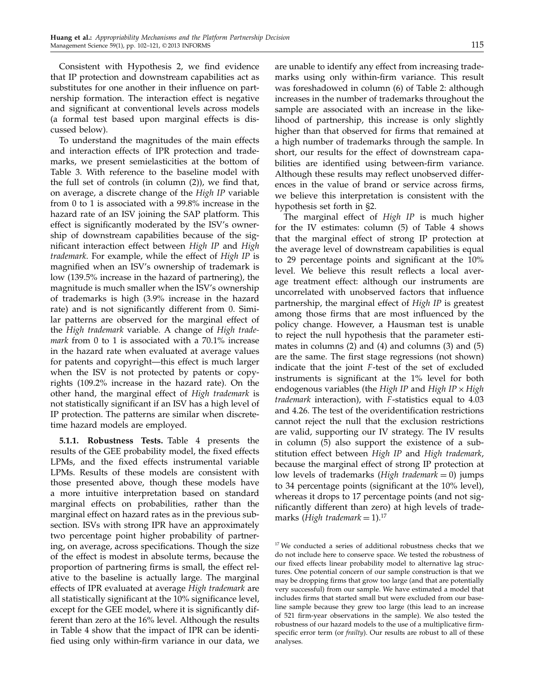Consistent with Hypothesis 2, we find evidence that IP protection and downstream capabilities act as substitutes for one another in their influence on partnership formation. The interaction effect is negative and significant at conventional levels across models (a formal test based upon marginal effects is discussed below).

To understand the magnitudes of the main effects and interaction effects of IPR protection and trademarks, we present semielasticities at the bottom of Table 3. With reference to the baseline model with the full set of controls (in column (2)), we find that, on average, a discrete change of the High IP variable from 0 to 1 is associated with a 99.8% increase in the hazard rate of an ISV joining the SAP platform. This effect is significantly moderated by the ISV's ownership of downstream capabilities because of the significant interaction effect between High IP and High trademark. For example, while the effect of High IP is magnified when an ISV's ownership of trademark is low (139.5% increase in the hazard of partnering), the magnitude is much smaller when the ISV's ownership of trademarks is high (3.9% increase in the hazard rate) and is not significantly different from 0. Similar patterns are observed for the marginal effect of the High trademark variable. A change of High trademark from 0 to 1 is associated with a 70.1% increase in the hazard rate when evaluated at average values for patents and copyright—this effect is much larger when the ISV is not protected by patents or copyrights (109.2% increase in the hazard rate). On the other hand, the marginal effect of High trademark is not statistically significant if an ISV has a high level of IP protection. The patterns are similar when discretetime hazard models are employed.

5.1.1. Robustness Tests. Table 4 presents the results of the GEE probability model, the fixed effects LPMs, and the fixed effects instrumental variable LPMs. Results of these models are consistent with those presented above, though these models have a more intuitive interpretation based on standard marginal effects on probabilities, rather than the marginal effect on hazard rates as in the previous subsection. ISVs with strong IPR have an approximately two percentage point higher probability of partnering, on average, across specifications. Though the size of the effect is modest in absolute terms, because the proportion of partnering firms is small, the effect relative to the baseline is actually large. The marginal effects of IPR evaluated at average High trademark are all statistically significant at the 10% significance level, except for the GEE model, where it is significantly different than zero at the 16% level. Although the results in Table 4 show that the impact of IPR can be identified using only within-firm variance in our data, we are unable to identify any effect from increasing trademarks using only within-firm variance. This result was foreshadowed in column (6) of Table 2: although increases in the number of trademarks throughout the sample are associated with an increase in the likelihood of partnership, this increase is only slightly higher than that observed for firms that remained at a high number of trademarks through the sample. In short, our results for the effect of downstream capabilities are identified using between-firm variance. Although these results may reflect unobserved differences in the value of brand or service across firms, we believe this interpretation is consistent with the hypothesis set forth in §2.

The marginal effect of High IP is much higher for the IV estimates: column (5) of Table 4 shows that the marginal effect of strong IP protection at the average level of downstream capabilities is equal to 29 percentage points and significant at the 10% level. We believe this result reflects a local average treatment effect: although our instruments are uncorrelated with unobserved factors that influence partnership, the marginal effect of High IP is greatest among those firms that are most influenced by the policy change. However, a Hausman test is unable to reject the null hypothesis that the parameter estimates in columns (2) and (4) and columns (3) and (5) are the same. The first stage regressions (not shown) indicate that the joint  $F$ -test of the set of excluded instruments is significant at the 1% level for both endogenous variables (the High IP and High IP  $\times$  High trademark interaction), with F-statistics equal to 4.03 and 4.26. The test of the overidentification restrictions cannot reject the null that the exclusion restrictions are valid, supporting our IV strategy. The IV results in column (5) also support the existence of a substitution effect between High IP and High trademark, because the marginal effect of strong IP protection at low levels of trademarks ( $High\; trademark = 0$ ) jumps to 34 percentage points (significant at the 10% level), whereas it drops to 17 percentage points (and not significantly different than zero) at high levels of trademarks (High trademark =  $1$ ).<sup>17</sup>

<sup>&</sup>lt;sup>17</sup> We conducted a series of additional robustness checks that we do not include here to conserve space. We tested the robustness of our fixed effects linear probability model to alternative lag structures. One potential concern of our sample construction is that we may be dropping firms that grow too large (and that are potentially very successful) from our sample. We have estimated a model that includes firms that started small but were excluded from our baseline sample because they grew too large (this lead to an increase of 521 firm-year observations in the sample). We also tested the robustness of our hazard models to the use of a multiplicative firmspecific error term (or *frailty*). Our results are robust to all of these analyses.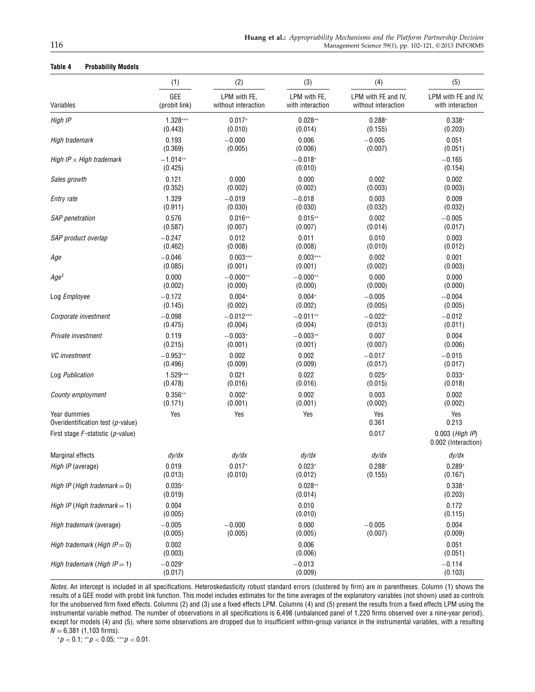#### Table 4 Probability Models

|                                                       | (1)                   | (2)                 | (3)                  | (4)                 | (5)                                    |
|-------------------------------------------------------|-----------------------|---------------------|----------------------|---------------------|----------------------------------------|
| Variables                                             | GEE                   | LPM with FE,        | LPM with FE,         | LPM with FE and IV, | LPM with FE and IV,                    |
|                                                       | (probit link)         | without interaction | with interaction     | without interaction | with interaction                       |
| High IP                                               | 1.328***              | $0.017*$            | $0.028**$            | $0.288*$            | $0.338*$                               |
|                                                       | (0.443)               | (0.010)             | (0.014)              | (0.155)             | (0.203)                                |
| High trademark                                        | 0.193                 | $-0.000$            | 0.006                | $-0.005$            | 0.051                                  |
|                                                       | (0.369)               | (0.005)             | (0.006)              | (0.007)             | (0.051)                                |
| High IP $\times$ High trademark                       | $-1.014**$<br>(0.425) |                     | $-0.018*$<br>(0.010) |                     | $-0.165$<br>(0.154)                    |
| Sales growth                                          | 0.121                 | 0.000               | 0.000                | 0.002               | 0.002                                  |
|                                                       | (0.352)               | (0.002)             | (0.002)              | (0.003)             | (0.003)                                |
| <b>Entry rate</b>                                     | 1.329                 | $-0.019$            | $-0.018$             | 0.003               | 0.009                                  |
|                                                       | (0.911)               | (0.030)             | (0.030)              | (0.032)             | (0.032)                                |
| SAP penetration                                       | 0.576                 | $0.016**$           | $0.015**$            | 0.002               | $-0.005$                               |
|                                                       | (0.587)               | (0.007)             | (0.007)              | (0.014)             | (0.017)                                |
| SAP product overlap                                   | $-0.247$              | 0.012               | 0.011                | 0.010               | 0.003                                  |
|                                                       | (0.462)               | (0.008)             | (0.008)              | (0.010)             | (0.012)                                |
| Age                                                   | $-0.046$              | $0.003***$          | $0.003***$           | 0.002               | 0.001                                  |
|                                                       | (0.085)               | (0.001)             | (0.001)              | (0.002)             | (0.003)                                |
| Age <sup>2</sup>                                      | 0.000                 | $-0.000**$          | $-0.000**$           | 0.000               | 0.000                                  |
|                                                       | (0.002)               | (0.000)             | (0.000)              | (0.000)             | (0.000)                                |
| Log <i>Employee</i>                                   | $-0.172$              | $0.004*$            | $0.004*$             | $-0.005$            | $-0.004$                               |
|                                                       | (0.145)               | (0.002)             | (0.002)              | (0.005)             | (0.005)                                |
| Corporate investment                                  | $-0.098$              | $-0.012***$         | $-0.011**$           | $-0.022*$           | $-0.012$                               |
|                                                       | (0.475)               | (0.004)             | (0.004)              | (0.013)             | (0.011)                                |
| Private investment                                    | 0.119                 | $-0.003*$           | $-0.003**$           | 0.007               | 0.004                                  |
|                                                       | (0.215)               | (0.001)             | (0.001)              | (0.007)             | (0.006)                                |
| VC investment                                         | $-0.953**$            | 0.002               | 0.002                | $-0.017$            | $-0.015$                               |
|                                                       | (0.496)               | (0.009)             | (0.009)              | (0.017)             | (0.017)                                |
| Log Publication                                       | 1.529***              | 0.021               | 0.022                | $0.025*$            | $0.033*$                               |
|                                                       | (0.478)               | (0.016)             | (0.016)              | (0.015)             | (0.018)                                |
| County employment                                     | $0.356**$             | $0.002*$            | 0.002                | 0.003               | 0.002                                  |
|                                                       | (0.171)               | (0.001)             | (0.001)              | (0.002)             | (0.002)                                |
| Year dummies<br>Overidentification test ( $p$ -value) | Yes                   | Yes                 | Yes                  | Yes<br>0.361        | Yes<br>0.213                           |
| First stage $F$ -statistic (p-value)                  |                       |                     |                      | 0.017               | 0.003 (High IP)<br>0.002 (Interaction) |
| Marginal effects                                      | dy/dx                 | dy/dx               | dy/dx                | dy/dx               | dy/dx                                  |
| High IP (average)                                     | 0.019                 | $0.017*$            | $0.023*$             | $0.288*$            | $0.289*$                               |
|                                                       | (0.013)               | (0.010)             | (0.012)              | (0.155)             | (0.167)                                |
| High IP (High trademark = 0)                          | $0.035*$<br>(0.019)   |                     | $0.028**$<br>(0.014) |                     | $0.338*$<br>(0.203)                    |
| High IP (High trademark = 1)                          | 0.004<br>(0.005)      |                     | 0.010<br>(0.010)     |                     | 0.172<br>(0.115)                       |
| High trademark (average)                              | $-0.005$              | $-0.000$            | 0.000                | $-0.005$            | 0.004                                  |
|                                                       | (0.005)               | (0.005)             | (0.005)              | (0.007)             | (0.009)                                |
| High trademark (High $IP = 0$ )                       | 0.002<br>(0.003)      |                     | 0.006<br>(0.006)     |                     | 0.051<br>(0.051)                       |
| High trademark (High $IP = 1$ )                       | $-0.029*$<br>(0.017)  |                     | $-0.013$<br>(0.009)  |                     | $-0.114$<br>(0.103)                    |

Notes. An intercept is included in all specifications. Heteroskedasticity robust standard errors (clustered by firm) are in parentheses. Column (1) shows the results of a GEE model with probit link function. This model includes estimates for the time averages of the explanatory variables (not shown) used as controls for the unobserved firm fixed effects. Columns (2) and (3) use a fixed effects LPM. Columns (4) and (5) present the results from a fixed effects LPM using the instrumental variable method. The number of observations in all specifications is 6,498 (unbalanced panel of 1,220 firms observed over a nine-year period), except for models (4) and (5), where some observations are dropped due to insufficient within-group variance in the instrumental variables, with a resulting  $N = 6,381$  (1,103 firms).

 ${}^*p < 0.1$ ;  ${}^{**}p < 0.05$ ;  ${}^{***}p < 0.01$ .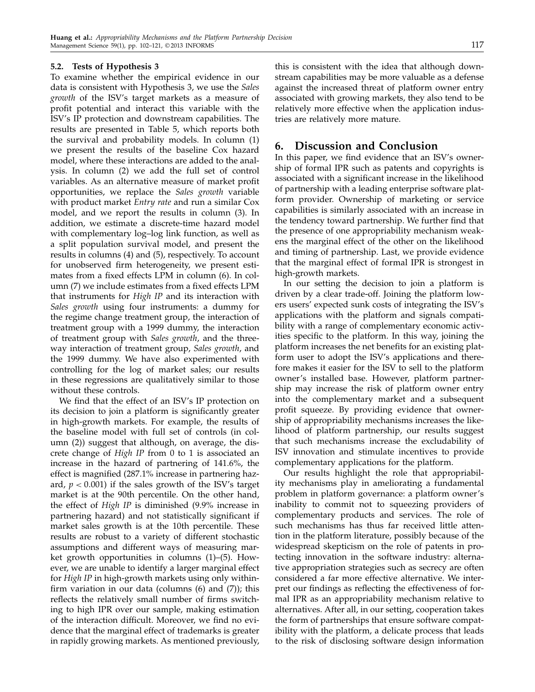#### 5.2. Tests of Hypothesis 3

To examine whether the empirical evidence in our data is consistent with Hypothesis 3, we use the Sales growth of the ISV's target markets as a measure of profit potential and interact this variable with the ISV's IP protection and downstream capabilities. The results are presented in Table 5, which reports both the survival and probability models. In column (1) we present the results of the baseline Cox hazard model, where these interactions are added to the analysis. In column (2) we add the full set of control variables. As an alternative measure of market profit opportunities, we replace the Sales growth variable with product market *Entry rate* and run a similar Cox model, and we report the results in column (3). In addition, we estimate a discrete-time hazard model with complementary log–log link function, as well as a split population survival model, and present the results in columns (4) and (5), respectively. To account for unobserved firm heterogeneity, we present estimates from a fixed effects LPM in column (6). In column (7) we include estimates from a fixed effects LPM that instruments for High IP and its interaction with Sales growth using four instruments: a dummy for the regime change treatment group, the interaction of treatment group with a 1999 dummy, the interaction of treatment group with Sales growth, and the threeway interaction of treatment group, Sales growth, and the 1999 dummy. We have also experimented with controlling for the log of market sales; our results in these regressions are qualitatively similar to those without these controls.

We find that the effect of an ISV's IP protection on its decision to join a platform is significantly greater in high-growth markets. For example, the results of the baseline model with full set of controls (in column (2)) suggest that although, on average, the discrete change of High IP from 0 to 1 is associated an increase in the hazard of partnering of 141.6%, the effect is magnified (287.1% increase in partnering hazard,  $p < 0.001$ ) if the sales growth of the ISV's target market is at the 90th percentile. On the other hand, the effect of High IP is diminished (9.9% increase in partnering hazard) and not statistically significant if market sales growth is at the 10th percentile. These results are robust to a variety of different stochastic assumptions and different ways of measuring market growth opportunities in columns (1)–(5). However, we are unable to identify a larger marginal effect for High IP in high-growth markets using only withinfirm variation in our data (columns  $(6)$  and  $(7)$ ); this reflects the relatively small number of firms switching to high IPR over our sample, making estimation of the interaction difficult. Moreover, we find no evidence that the marginal effect of trademarks is greater in rapidly growing markets. As mentioned previously, this is consistent with the idea that although downstream capabilities may be more valuable as a defense against the increased threat of platform owner entry associated with growing markets, they also tend to be relatively more effective when the application industries are relatively more mature.

## 6. Discussion and Conclusion

In this paper, we find evidence that an ISV's ownership of formal IPR such as patents and copyrights is associated with a significant increase in the likelihood of partnership with a leading enterprise software platform provider. Ownership of marketing or service capabilities is similarly associated with an increase in the tendency toward partnership. We further find that the presence of one appropriability mechanism weakens the marginal effect of the other on the likelihood and timing of partnership. Last, we provide evidence that the marginal effect of formal IPR is strongest in high-growth markets.

In our setting the decision to join a platform is driven by a clear trade-off. Joining the platform lowers users' expected sunk costs of integrating the ISV's applications with the platform and signals compatibility with a range of complementary economic activities specific to the platform. In this way, joining the platform increases the net benefits for an existing platform user to adopt the ISV's applications and therefore makes it easier for the ISV to sell to the platform owner's installed base. However, platform partnership may increase the risk of platform owner entry into the complementary market and a subsequent profit squeeze. By providing evidence that ownership of appropriability mechanisms increases the likelihood of platform partnership, our results suggest that such mechanisms increase the excludability of ISV innovation and stimulate incentives to provide complementary applications for the platform.

Our results highlight the role that appropriability mechanisms play in ameliorating a fundamental problem in platform governance: a platform owner's inability to commit not to squeezing providers of complementary products and services. The role of such mechanisms has thus far received little attention in the platform literature, possibly because of the widespread skepticism on the role of patents in protecting innovation in the software industry: alternative appropriation strategies such as secrecy are often considered a far more effective alternative. We interpret our findings as reflecting the effectiveness of formal IPR as an appropriability mechanism relative to alternatives. After all, in our setting, cooperation takes the form of partnerships that ensure software compatibility with the platform, a delicate process that leads to the risk of disclosing software design information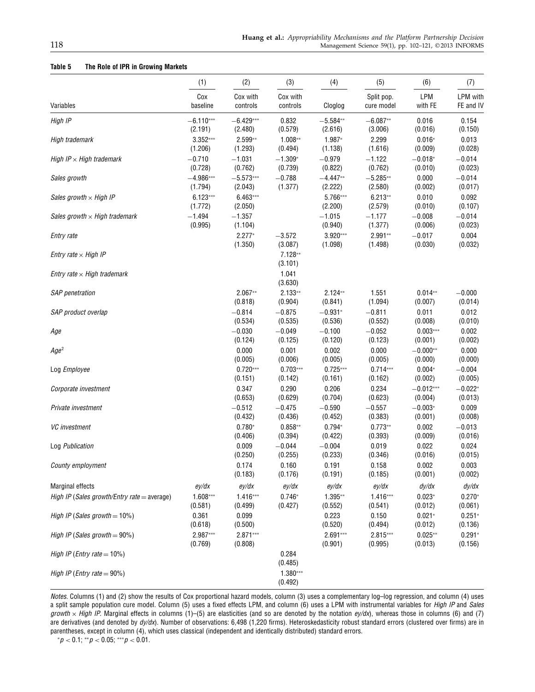#### Table 5 The Role of IPR in Growing Markets

|                                             | (1)                    | (2)                    | (3)                   | (4)                   | (5)                      | (6)                    | (7)                   |
|---------------------------------------------|------------------------|------------------------|-----------------------|-----------------------|--------------------------|------------------------|-----------------------|
| Variables                                   | Cox<br>baseline        | Cox with<br>controls   | Cox with<br>controls  | Cloglog               | Split pop.<br>cure model | LPM<br>with FE         | LPM with<br>FE and IV |
| High IP                                     | $-6.110***$<br>(2.191) | $-6.429***$<br>(2.480) | 0.832<br>(0.579)      | $-5.584**$<br>(2.616) | $-6.087**$<br>(3.006)    | 0.016<br>(0.016)       | 0.154<br>(0.150)      |
| High trademark                              | $3.352***$<br>(1.206)  | 2.599**<br>(1.293)     | $1.008**$<br>(0.494)  | 1.987*<br>(1.138)     | 2.299<br>(1.616)         | $0.016*$<br>(0.009)    | 0.013<br>(0.028)      |
| High IP $\times$ High trademark             | $-0.710$<br>(0.728)    | $-1.031$<br>(0.762)    | $-1.309*$<br>(0.739)  | $-0.979$<br>(0.822)   | $-1.122$<br>(0.762)      | $-0.018*$<br>(0.010)   | $-0.014$<br>(0.023)   |
| Sales growth                                | $-4.986***$<br>(1.794) | $-5.573***$<br>(2.043) | $-0.788$<br>(1.377)   | $-4.447**$<br>(2.222) | $-5.285**$<br>(2.580)    | 0.000<br>(0.002)       | $-0.014$<br>(0.017)   |
| Sales growth $\times$ High IP               | $6.123***$<br>(1.772)  | $6.463***$<br>(2.050)  |                       | 5.766***<br>(2.200)   | $6.213**$<br>(2.579)     | 0.010<br>(0.010)       | 0.092<br>(0.107)      |
| Sales growth $\times$ High trademark        | $-1.494$<br>(0.995)    | $-1.357$<br>(1.104)    |                       | $-1.015$<br>(0.940)   | $-1.177$<br>(1.377)      | $-0.008$<br>(0.006)    | $-0.014$<br>(0.023)   |
| Entry rate                                  |                        | $2.277*$<br>(1.350)    | $-3.572$<br>(3.087)   | $3.920***$<br>(1.098) | $2.991**$<br>(1.498)     | $-0.017$<br>(0.030)    | 0.004<br>(0.032)      |
| Entry rate $\times$ High IP                 |                        |                        | 7.128**<br>(3.101)    |                       |                          |                        |                       |
| Entry rate $\times$ High trademark          |                        |                        | 1.041<br>(3.630)      |                       |                          |                        |                       |
| SAP penetration                             |                        | $2.067**$<br>(0.818)   | $2.133**$<br>(0.904)  | $2.124**$<br>(0.841)  | 1.551<br>(1.094)         | $0.014**$<br>(0.007)   | $-0.000$<br>(0.014)   |
| SAP product overlap                         |                        | $-0.814$<br>(0.534)    | $-0.875$<br>(0.535)   | $-0.931*$<br>(0.536)  | $-0.811$<br>(0.552)      | 0.011<br>(0.008)       | 0.012<br>(0.010)      |
| Age                                         |                        | $-0.030$<br>(0.124)    | $-0.049$<br>(0.125)   | $-0.100$<br>(0.120)   | $-0.052$<br>(0.123)      | $0.003***$<br>(0.001)  | 0.002<br>(0.002)      |
| Age <sup>2</sup>                            |                        | 0.000<br>(0.005)       | 0.001<br>(0.006)      | 0.002<br>(0.005)      | 0.000<br>(0.005)         | $-0.000**$<br>(0.000)  | 0.000<br>(0.000)      |
| Log <i>Employee</i>                         |                        | $0.720***$<br>(0.151)  | $0.703***$<br>(0.142) | $0.725***$<br>(0.161) | $0.714***$<br>(0.162)    | $0.004*$<br>(0.002)    | $-0.004$<br>(0.005)   |
| Corporate investment                        |                        | 0.347<br>(0.653)       | 0.290<br>(0.629)      | 0.206<br>(0.704)      | 0.234<br>(0.623)         | $-0.012***$<br>(0.004) | $-0.022*$<br>(0.013)  |
| Private investment                          |                        | $-0.512$<br>(0.432)    | $-0.475$<br>(0.436)   | $-0.590$<br>(0.452)   | $-0.557$<br>(0.383)      | $-0.003*$<br>(0.001)   | 0.009<br>(0.008)      |
| VC investment                               |                        | $0.780*$<br>(0.406)    | $0.858**$<br>(0.394)  | $0.794*$<br>(0.422)   | $0.773**$<br>(0.393)     | 0.002<br>(0.009)       | $-0.013$<br>(0.016)   |
| Log Publication                             |                        | 0.009<br>(0.250)       | $-0.044$<br>(0.255)   | $-0.004$<br>(0.233)   | 0.019<br>(0.346)         | 0.022<br>(0.016)       | 0.024<br>(0.015)      |
| County employment                           |                        | 0.174<br>(0.183)       | 0.160<br>(0.176)      | 0.191<br>(0.191)      | 0.158<br>(0.185)         | 0.002<br>(0.001)       | 0.003<br>(0.002)      |
| <b>Marginal effects</b>                     | ey/dx                  | ey/dx                  | ey/dx                 | ey/dx                 | ey/dx                    | dy/dx                  | dy/dx                 |
| High IP (Sales growth/Entry rate = average) | $1.608***$<br>(0.581)  | $1.416***$<br>(0.499)  | $0.746*$<br>(0.427)   | 1.395**<br>(0.552)    | $1.416***$<br>(0.541)    | $0.023*$<br>(0.012)    | $0.270*$<br>(0.061)   |
| High IP (Sales growth = $10\%$ )            | 0.361<br>(0.618)       | 0.099<br>(0.500)       |                       | 0.223<br>(0.520)      | 0.150<br>(0.494)         | $0.021*$<br>(0.012)    | $0.251*$<br>(0.136)   |
| High IP (Sales growth = $90\%$ )            | 2.987***<br>(0.769)    | $2.871***$<br>(0.808)  |                       | $2.691***$<br>(0.901) | $2.815***$<br>(0.995)    | $0.025**$<br>(0.013)   | $0.291*$<br>(0.156)   |
| High IP (Entry rate = $10\%$ )              |                        |                        | 0.284<br>(0.485)      |                       |                          |                        |                       |
| High IP (Entry rate = $90\%$ )              |                        |                        | $1.380***$<br>(0.492) |                       |                          |                        |                       |

Notes. Columns (1) and (2) show the results of Cox proportional hazard models, column (3) uses a complementary log–log regression, and column (4) uses a split sample population cure model. Column (5) uses a fixed effects LPM, and column (6) uses a LPM with instrumental variables for High IP and Sales growth  $\times$  High IP. Marginal effects in columns (1)–(5) are elasticities (and so are denoted by the notation  $e\nu/dx$ ), whereas those in columns (6) and (7) are derivatives (and denoted by  $\frac{dy}{dx}$ ). Number of observations: 6,498 (1,220 firms). Heteroskedasticity robust standard errors (clustered over firms) are in parentheses, except in column (4), which uses classical (independent and identically distributed) standard errors.

 ${}^*p < 0.1$ ;  ${}^{**}p < 0.05$ ;  ${}^{***}p < 0.01$ .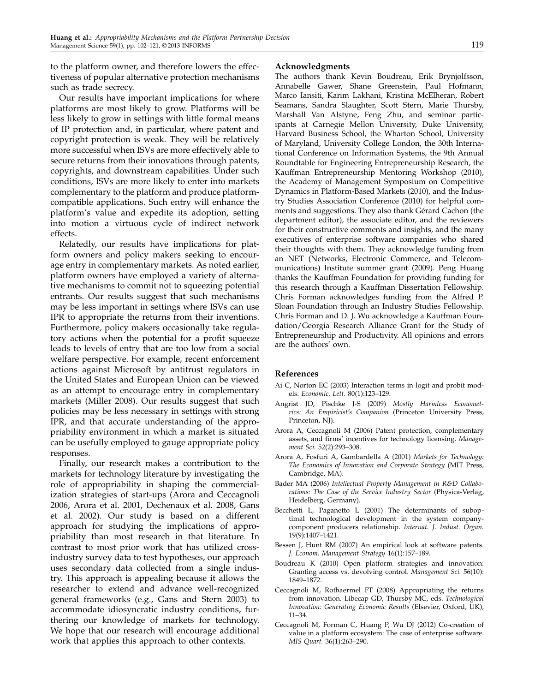to the platform owner, and therefore lowers the effectiveness of popular alternative protection mechanisms such as trade secrecy.

Our results have important implications for where platforms are most likely to grow. Platforms will be less likely to grow in settings with little formal means of IP protection and, in particular, where patent and copyright protection is weak. They will be relatively more successful when ISVs are more effectively able to secure returns from their innovations through patents, copyrights, and downstream capabilities. Under such conditions, ISVs are more likely to enter into markets complementary to the platform and produce platformcompatible applications. Such entry will enhance the platform's value and expedite its adoption, setting into motion a virtuous cycle of indirect network effects.

Relatedly, our results have implications for platform owners and policy makers seeking to encourage entry in complementary markets. As noted earlier, platform owners have employed a variety of alternative mechanisms to commit not to squeezing potential entrants. Our results suggest that such mechanisms may be less important in settings where ISVs can use IPR to appropriate the returns from their inventions. Furthermore, policy makers occasionally take regulatory actions when the potential for a profit squeeze leads to levels of entry that are too low from a social welfare perspective. For example, recent enforcement actions against Microsoft by antitrust regulators in the United States and European Union can be viewed as an attempt to encourage entry in complementary markets (Miller 2008). Our results suggest that such policies may be less necessary in settings with strong IPR, and that accurate understanding of the appropriability environment in which a market is situated can be usefully employed to gauge appropriate policy responses.

Finally, our research makes a contribution to the markets for technology literature by investigating the role of appropriability in shaping the commercialization strategies of start-ups (Arora and Ceccagnoli 2006, Arora et al. 2001, Dechenaux et al. 2008, Gans et al. 2002). Our study is based on a different approach for studying the implications of appropriability than most research in that literature. In contrast to most prior work that has utilized crossindustry survey data to test hypotheses, our approach uses secondary data collected from a single industry. This approach is appealing because it allows the researcher to extend and advance well-recognized general frameworks (e.g., Gans and Stern 2003) to accommodate idiosyncratic industry conditions, furthering our knowledge of markets for technology. We hope that our research will encourage additional work that applies this approach to other contexts.

#### Acknowledgments

The authors thank Kevin Boudreau, Erik Brynjolfsson, Annabelle Gawer, Shane Greenstein, Paul Hofmann, Marco Iansiti, Karim Lakhani, Kristina McElheran, Robert Seamans, Sandra Slaughter, Scott Stern, Marie Thursby, Marshall Van Alstyne, Feng Zhu, and seminar participants at Carnegie Mellon University, Duke University, Harvard Business School, the Wharton School, University of Maryland, University College London, the 30th International Conference on Information Systems, the 9th Annual Roundtable for Engineering Entrepreneurship Research, the Kauffman Entrepreneurship Mentoring Workshop (2010), the Academy of Management Symposium on Competitive Dynamics in Platform-Based Markets (2010), and the Industry Studies Association Conference (2010) for helpful comments and suggestions. They also thank Gérard Cachon (the department editor), the associate editor, and the reviewers for their constructive comments and insights, and the many executives of enterprise software companies who shared their thoughts with them. They acknowledge funding from an NET (Networks, Electronic Commerce, and Telecommunications) Institute summer grant (2009). Peng Huang thanks the Kauffman Foundation for providing funding for this research through a Kauffman Dissertation Fellowship. Chris Forman acknowledges funding from the Alfred P. Sloan Foundation through an Industry Studies Fellowship. Chris Forman and D. J. Wu acknowledge a Kauffman Foundation/Georgia Research Alliance Grant for the Study of Entrepreneurship and Productivity. All opinions and errors are the authors' own.

#### References

- Ai C, Norton EC (2003) Interaction terms in logit and probit models. Economic. Lett. 80(1):123–129.
- Angrist JD, Pischke J-S (2009) Mostly Harmless Econometrics: An Empiricist's Companion (Princeton University Press, Princeton, NJ).
- Arora A, Ceccagnoli M (2006) Patent protection, complementary assets, and firms' incentives for technology licensing. Management Sci. 52(2):293–308.
- Arora A, Fosfuri A, Gambardella A (2001) Markets for Technology: The Economics of Innovation and Corporate Strategy (MIT Press, Cambridge, MA).
- Bader MA (2006) Intellectual Property Management in R&D Collaborations: The Case of the Service Industry Sector (Physica-Verlag, Heidelberg, Germany).
- Becchetti L, Paganetto L (2001) The determinants of suboptimal technological development in the system companycomponent producers relationship. Internat. J. Indust. Organ. 19(9):1407–1421.
- Bessen J, Hunt RM (2007) An empirical look at software patents. J. Econom. Management Strategy 16(1):157–189.
- Boudreau K (2010) Open platform strategies and innovation: Granting access vs. devolving control. Management Sci. 56(10): 1849–1872.
- Ceccagnoli M, Rothaermel FT (2008) Appropriating the returns from innovation. Libecap GD, Thursby MC, eds. Technological Innovation: Generating Economic Results (Elsevier, Oxford, UK), 11–34.
- Ceccagnoli M, Forman C, Huang P, Wu DJ (2012) Co-creation of value in a platform ecosystem: The case of enterprise software. MIS Quart. 36(1):263–290.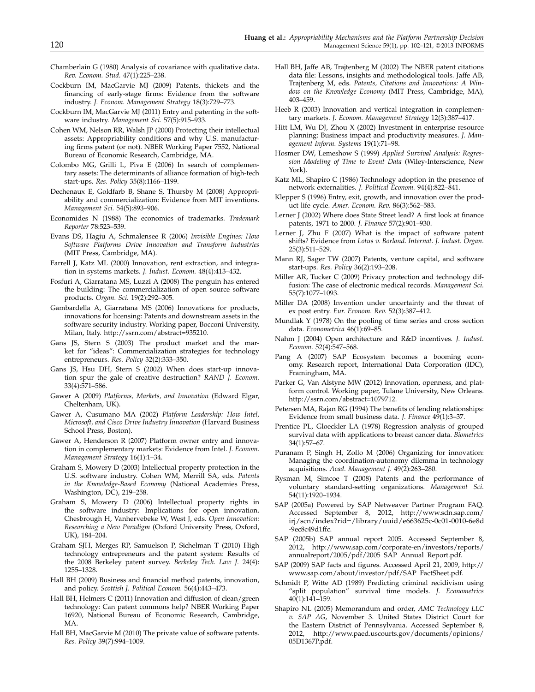- Chamberlain G (1980) Analysis of covariance with qualitative data. Rev. Econom. Stud. 47(1):225–238.
- Cockburn IM, MacGarvie MJ (2009) Patents, thickets and the financing of early-stage firms: Evidence from the software industry. J. Econom. Management Strategy 18(3):729–773.
- Cockburn IM, MacGarvie MJ (2011) Entry and patenting in the software industry. Management Sci. 57(5):915–933.
- Cohen WM, Nelson RR, Walsh JP (2000) Protecting their intellectual assets: Appropriability conditions and why U.S. manufacturing firms patent (or not). NBER Working Paper 7552, National Bureau of Economic Research, Cambridge, MA.
- Colombo MG, Grilli L, Piva E (2006) In search of complementary assets: The determinants of alliance formation of high-tech start-ups. Res. Policy 35(8):1166–1199.
- Dechenaux E, Goldfarb B, Shane S, Thursby M (2008) Appropriability and commercialization: Evidence from MIT inventions. Management Sci. 54(5):893–906.
- Economides N (1988) The economics of trademarks. Trademark Reporter 78:523–539.
- Evans DS, Hagiu A, Schmalensee R (2006) Invisible Engines: How Software Platforms Drive Innovation and Transform Industries (MIT Press, Cambridge, MA).
- Farrell J, Katz ML (2000) Innovation, rent extraction, and integration in systems markets. J. Indust. Econom. 48(4):413–432.
- Fosfuri A, Giarratana MS, Luzzi A (2008) The penguin has entered the building: The commercialization of open source software products. Organ. Sci. 19(2):292–305.
- Gambardella A, Giarratana MS (2006) Innovations for products, innovations for licensing: Patents and downstream assets in the software security industry. Working paper, Bocconi University, Milan, Italy. http://ssrn.com/abstract=935210.
- Gans JS, Stern S (2003) The product market and the market for "ideas": Commercialization strategies for technology entrepreneurs. Res. Policy 32(2):333–350.
- Gans JS, Hsu DH, Stern S (2002) When does start-up innovation spur the gale of creative destruction? RAND J. Econom. 33(4):571–586.
- Gawer A (2009) Platforms, Markets, and Innovation (Edward Elgar, Cheltenham, UK).
- Gawer A, Cusumano MA (2002) Platform Leadership: How Intel, Microsoft, and Cisco Drive Industry Innovation (Harvard Business School Press, Boston).
- Gawer A, Henderson R (2007) Platform owner entry and innovation in complementary markets: Evidence from Intel. J. Econom. Management Strategy 16(1):1–34.
- Graham S, Mowery D (2003) Intellectual property protection in the U.S. software industry. Cohen WM, Merrill SA, eds. Patents in the Knowledge-Based Economy (National Academies Press, Washington, DC), 219–258.
- Graham S, Mowery D (2006) Intellectual property rights in the software industry: Implications for open innovation. Chesbrough H, Vanhervebeke W, West J, eds. Open Innovation: Researching a New Paradigm (Oxford University Press, Oxford, UK), 184–204.
- Graham SJH, Merges RP, Samuelson P, Sichelman T (2010) High technology entrepreneurs and the patent system: Results of the 2008 Berkeley patent survey. Berkeley Tech. Law J. 24(4): 1255–1328.
- Hall BH (2009) Business and financial method patents, innovation, and policy. Scottish J. Political Econom. 56(4):443–473.
- Hall BH, Helmers C (2011) Innovation and diffusion of clean/green technology: Can patent commons help? NBER Working Paper 16920, National Bureau of Economic Research, Cambridge, MA.
- Hall BH, MacGarvie M (2010) The private value of software patents. Res. Policy 39(7):994–1009.
- Hall BH, Jaffe AB, Trajtenberg M (2002) The NBER patent citations data file: Lessons, insights and methodological tools. Jaffe AB, Trajtenberg M, eds. Patents, Citations and Innovations: A Window on the Knowledge Economy (MIT Press, Cambridge, MA), 403–459.
- Heeb R (2003) Innovation and vertical integration in complementary markets. J. Econom. Management Strategy 12(3):387–417.
- Hitt LM, Wu DJ, Zhou X (2002) Investment in enterprise resource planning: Business impact and productivity measures. J. Management Inform. Systems 19(1):71–98.
- Hosmer DW, Lemeshow S (1999) Applied Survival Analysis: Regression Modeling of Time to Event Data (Wiley-Interscience, New York).
- Katz ML, Shapiro C (1986) Technology adoption in the presence of network externalities. J. Political Econom. 94(4):822–841.
- Klepper S (1996) Entry, exit, growth, and innovation over the product life cycle. Amer. Econom. Rev. 86(3):562–583.
- Lerner J (2002) Where does State Street lead? A first look at finance patents, 1971 to 2000. J. Finance 57(2):901–930.
- Lerner J, Zhu F (2007) What is the impact of software patent shifts? Evidence from Lotus v. Borland. Internat. J. Indust. Organ. 25(3):511–529.
- Mann RJ, Sager TW (2007) Patents, venture capital, and software start-ups. Res. Policy 36(2):193–208.
- Miller AR, Tucker C (2009) Privacy protection and technology diffusion: The case of electronic medical records. Management Sci. 55(7):1077–1093.
- Miller DA (2008) Invention under uncertainty and the threat of ex post entry. Eur. Econom. Rev. 52(3):387–412.
- Mundlak Y (1978) On the pooling of time series and cross section data. Econometrica 46(1):69–85.
- Nahm J (2004) Open architecture and R&D incentives. J. Indust. Econom. 52(4):547–568.
- Pang A (2007) SAP Ecosystem becomes a booming economy. Research report, International Data Corporation (IDC), Framingham, MA.
- Parker G, Van Alstyne MW (2012) Innovation, openness, and platform control. Working paper, Tulane University, New Orleans. http://ssrn.com/abstract=1079712.
- Petersen MA, Rajan RG (1994) The benefits of lending relationships: Evidence from small business data. J. Finance 49(1):3–37.
- Prentice PL, Gloeckler LA (1978) Regression analysis of grouped survival data with applications to breast cancer data. Biometrics 34(1):57–67.
- Puranam P, Singh H, Zollo M (2006) Organizing for innovation: Managing the coordination-autonomy dilemma in technology acquisitions. Acad. Management J. 49(2):263–280.
- Rysman M, Simcoe T (2008) Patents and the performance of voluntary standard-setting organizations. Management Sci. 54(11):1920–1934.
- SAP (2005a) Powered by SAP Netweaver Partner Program FAQ. Accessed September 8, 2012, http://www.sdn.sap.com/ irj/scn/index?rid=/library/uuid/e663625c-0c01-0010-6e8d -9ec8c49d1ffc.
- SAP (2005b) SAP annual report 2005. Accessed September 8, 2012, http://www.sap.com/corporate-en/investors/reports/ annualreport/2005/pdf/2005\_SAP\_Annual\_Report.pdf.
- SAP (2009) SAP facts and figures. Accessed April 21, 2009, http:// www.sap.com/about/investor/pdf/SAP\_FactSheet.pdf.
- Schmidt P, Witte AD (1989) Predicting criminal recidivism using "split population" survival time models. J. Econometrics 40(1):141–159.
- Shapiro NL (2005) Memorandum and order, AMC Technology LLC v. SAP AG, November 3. United States District Court for the Eastern District of Pennsylvania. Accessed September 8, 2012, http://www.paed.uscourts.gov/documents/opinions/ 05D1367P.pdf.